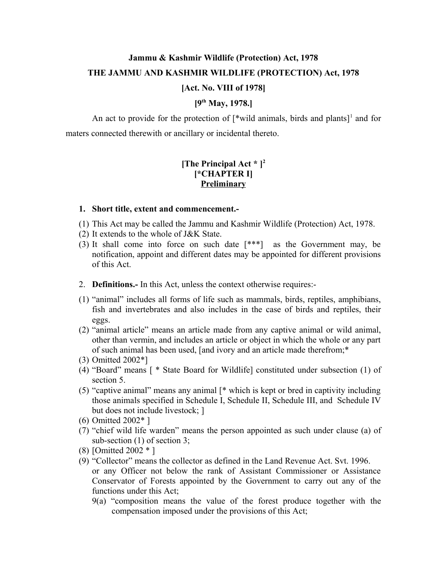# **Jammu & Kashmir Wildlife (Protection) Act, 1978 THE JAMMU AND KASHMIR WILDLIFE (PROTECTION) Act, 1978**

### **[Act. No. VIII of 1978]**

## **[9th May, 1978.]**

An act to provide for the protection of  $\lceil$ <sup>\*</sup>wild animals, birds and plants $\lceil$ <sup>1</sup> and for maters connected therewith or ancillary or incidental thereto.

## **[The Principal Act \* ]<sup>2</sup> [\*CHAPTER I] Preliminary**

#### **1. Short title, extent and commencement.-**

- (1) This Act may be called the Jammu and Kashmir Wildlife (Protection) Act, 1978.
- (2) It extends to the whole of J&K State.
- (3) It shall come into force on such date [\*\*\*] as the Government may, be notification, appoint and different dates may be appointed for different provisions of this Act.
- 2. **Definitions.-** In this Act, unless the context otherwise requires:-
- (1) "animal" includes all forms of life such as mammals, birds, reptiles, amphibians, fish and invertebrates and also includes in the case of birds and reptiles, their eggs.
- (2) "animal article" means an article made from any captive animal or wild animal, other than vermin, and includes an article or object in which the whole or any part of such animal has been used, [and ivory and an article made therefrom;\*
- (3) Omitted 2002\*]
- (4) "Board" means [ \* State Board for Wildlife] constituted under subsection (1) of section 5.
- (5) "captive animal" means any animal [\* which is kept or bred in captivity including those animals specified in Schedule I, Schedule II, Schedule III, and Schedule IV but does not include livestock; ]
- (6) Omitted 2002\* ]
- (7) "chief wild life warden" means the person appointed as such under clause (a) of sub-section (1) of section 3;
- (8) [Omitted 2002 \* ]
- (9) "Collector" means the collector as defined in the Land Revenue Act. Svt. 1996. or any Officer not below the rank of Assistant Commissioner or Assistance Conservator of Forests appointed by the Government to carry out any of the functions under this Act;
	- 9(a) "composition means the value of the forest produce together with the compensation imposed under the provisions of this Act;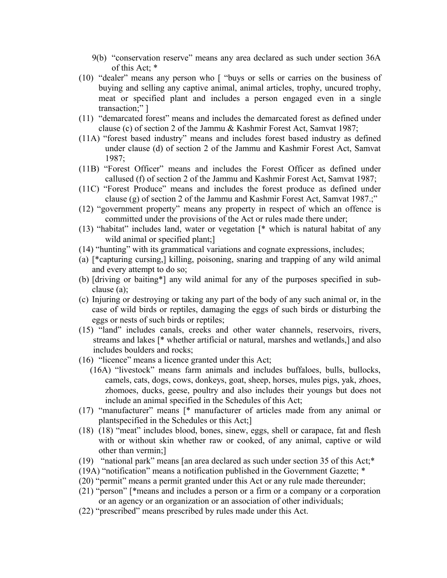- 9(b) "conservation reserve" means any area declared as such under section 36A of this Act; \*
- (10) "dealer" means any person who [ "buys or sells or carries on the business of buying and selling any captive animal, animal articles, trophy, uncured trophy, meat or specified plant and includes a person engaged even in a single transaction;" ]
- (11) "demarcated forest" means and includes the demarcated forest as defined under clause (c) of section 2 of the Jammu & Kashmir Forest Act, Samvat 1987;
- (11A) "forest based industry" means and includes forest based industry as defined under clause (d) of section 2 of the Jammu and Kashmir Forest Act, Samvat 1987;
- (11B) "Forest Officer" means and includes the Forest Officer as defined under callused (f) of section 2 of the Jammu and Kashmir Forest Act, Samvat 1987;
- (11C) "Forest Produce" means and includes the forest produce as defined under clause (g) of section 2 of the Jammu and Kashmir Forest Act, Samvat 1987.;"
- (12) "government property" means any property in respect of which an offence is committed under the provisions of the Act or rules made there under;
- (13) "habitat" includes land, water or vegetation [\* which is natural habitat of any wild animal or specified plant;
- (14) "hunting" with its grammatical variations and cognate expressions, includes;
- (a) [\*capturing cursing,] killing, poisoning, snaring and trapping of any wild animal and every attempt to do so;
- (b) [driving or baiting\*] any wild animal for any of the purposes specified in subclause (a);
- (c) Injuring or destroying or taking any part of the body of any such animal or, in the case of wild birds or reptiles, damaging the eggs of such birds or disturbing the eggs or nests of such birds or reptiles;
- (15) "land" includes canals, creeks and other water channels, reservoirs, rivers, streams and lakes [\* whether artificial or natural, marshes and wetlands,] and also includes boulders and rocks;
- (16) "licence" means a licence granted under this Act;
	- (16A) "livestock" means farm animals and includes buffaloes, bulls, bullocks, camels, cats, dogs, cows, donkeys, goat, sheep, horses, mules pigs, yak, zhoes, zhomoes, ducks, geese, poultry and also includes their youngs but does not include an animal specified in the Schedules of this Act;
- (17) "manufacturer" means [\* manufacturer of articles made from any animal or plantspecified in the Schedules or this Act;]
- (18) (18) "meat" includes blood, bones, sinew, eggs, shell or carapace, fat and flesh with or without skin whether raw or cooked, of any animal, captive or wild other than vermin;]
- (19) "national park" means [an area declared as such under section 35 of this Act;\*
- (19A) "notification" means a notification published in the Government Gazette; \*
- (20) "permit" means a permit granted under this Act or any rule made thereunder;
- (21) "person" [\*means and includes a person or a firm or a company or a corporation or an agency or an organization or an association of other individuals;
- (22) "prescribed" means prescribed by rules made under this Act.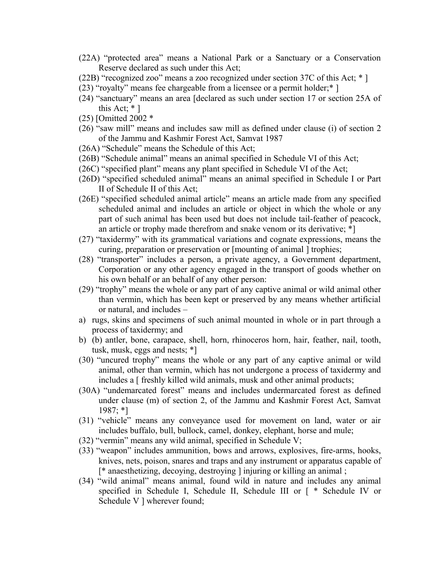- (22A) "protected area" means a National Park or a Sanctuary or a Conservation Reserve declared as such under this Act;
- (22B) "recognized zoo" means a zoo recognized under section 37C of this Act; \* ]
- (23) "royalty" means fee chargeable from a licensee or a permit holder;\* ]
- (24) "sanctuary" means an area [declared as such under section 17 or section 25A of this Act;  $*$  ]
- (25) [Omitted 2002 \*
- (26) "saw mill" means and includes saw mill as defined under clause (i) of section 2 of the Jammu and Kashmir Forest Act, Samvat 1987
- (26A) "Schedule" means the Schedule of this Act;
- (26B) "Schedule animal" means an animal specified in Schedule VI of this Act;
- (26C) "specified plant" means any plant specified in Schedule VI of the Act;
- (26D) "specified scheduled animal" means an animal specified in Schedule I or Part II of Schedule II of this Act;
- (26E) "specified scheduled animal article" means an article made from any specified scheduled animal and includes an article or object in which the whole or any part of such animal has been used but does not include tail-feather of peacock, an article or trophy made therefrom and snake venom or its derivative; \*]
- (27) "taxidermy" with its grammatical variations and cognate expressions, means the curing, preparation or preservation or [mounting of animal ] trophies;
- (28) "transporter" includes a person, a private agency, a Government department, Corporation or any other agency engaged in the transport of goods whether on his own behalf or an behalf of any other person:
- (29) "trophy" means the whole or any part of any captive animal or wild animal other than vermin, which has been kept or preserved by any means whether artificial or natural, and includes –
- a) rugs, skins and specimens of such animal mounted in whole or in part through a process of taxidermy; and
- b) (b) antler, bone, carapace, shell, horn, rhinoceros horn, hair, feather, nail, tooth, tusk, musk, eggs and nests; \*]
- (30) "uncured trophy" means the whole or any part of any captive animal or wild animal, other than vermin, which has not undergone a process of taxidermy and includes a  $\lceil$  freshly killed wild animals, musk and other animal products;
- (30A) "undemarcated forest" means and includes undermarcated forest as defined under clause (m) of section 2, of the Jammu and Kashmir Forest Act, Samvat 1987; \*]
- (31) "vehicle" means any conveyance used for movement on land, water or air includes buffalo, bull, bullock, camel, donkey, elephant, horse and mule;
- (32) "vermin" means any wild animal, specified in Schedule V;
- (33) "weapon" includes ammunition, bows and arrows, explosives, fire-arms, hooks, knives, nets, poison, snares and traps and any instrument or apparatus capable of [\* anaesthetizing, decoying, destroying ] injuring or killing an animal ;
- (34) "wild animal" means animal, found wild in nature and includes any animal specified in Schedule I, Schedule II, Schedule III or [ \* Schedule IV or Schedule V ] wherever found;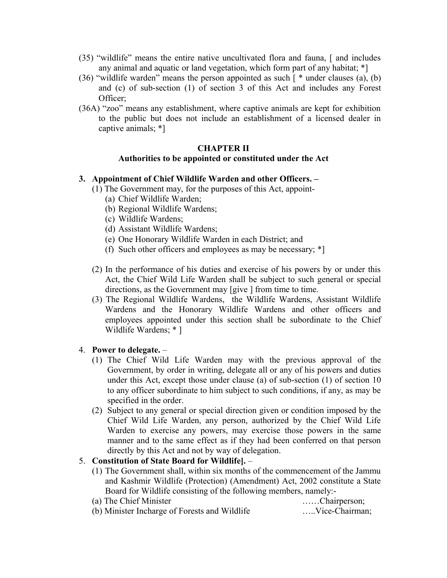- (35) "wildlife" means the entire native uncultivated flora and fauna, [ and includes any animal and aquatic or land vegetation, which form part of any habitat; \*]
- (36) "wildlife warden" means the person appointed as such  $\lceil$  \* under clauses (a), (b) and (c) of sub-section (1) of section 3 of this Act and includes any Forest Officer;
- (36A) "zoo" means any establishment, where captive animals are kept for exhibition to the public but does not include an establishment of a licensed dealer in captive animals; \*]

## **CHAPTER II Authorities to be appointed or constituted under the Act**

### **3. Appointment of Chief Wildlife Warden and other Officers. –**

- (1) The Government may, for the purposes of this Act, appoint-
	- (a) Chief Wildlife Warden;
	- (b) Regional Wildlife Wardens;
	- (c) Wildlife Wardens;
	- (d) Assistant Wildlife Wardens;
	- (e) One Honorary Wildlife Warden in each District; and
	- (f) Such other officers and employees as may be necessary; \*]
- (2) In the performance of his duties and exercise of his powers by or under this Act, the Chief Wild Life Warden shall be subject to such general or special directions, as the Government may [give ] from time to time.
- (3) The Regional Wildlife Wardens, the Wildlife Wardens, Assistant Wildlife Wardens and the Honorary Wildlife Wardens and other officers and employees appointed under this section shall be subordinate to the Chief Wildlife Wardens; \* ]

#### 4. **Power to delegate.** –

- (1) The Chief Wild Life Warden may with the previous approval of the Government, by order in writing, delegate all or any of his powers and duties under this Act, except those under clause (a) of sub-section (1) of section 10 to any officer subordinate to him subject to such conditions, if any, as may be specified in the order.
- (2) Subject to any general or special direction given or condition imposed by the Chief Wild Life Warden, any person, authorized by the Chief Wild Life Warden to exercise any powers, may exercise those powers in the same manner and to the same effect as if they had been conferred on that person directly by this Act and not by way of delegation.

## 5. **Constitution of State Board for Wildlife].** –

(1) The Government shall, within six months of the commencement of the Jammu and Kashmir Wildlife (Protection) (Amendment) Act, 2002 constitute a State Board for Wildlife consisting of the following members, namely:-

| (a) The Chief Minister                        |  | Chairperson;   |
|-----------------------------------------------|--|----------------|
| (b) Minister Incharge of Forests and Wildlife |  | Vice-Chairman; |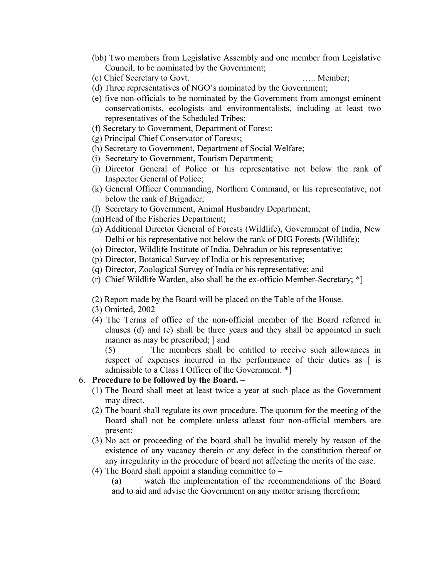- (bb) Two members from Legislative Assembly and one member from Legislative Council, to be nominated by the Government;
- (c) Chief Secretary to Govt. ….. Member;

- (d) Three representatives of NGO's nominated by the Government;
- (e) five non-officials to be nominated by the Government from amongst eminent conservationists, ecologists and environmentalists, including at least two representatives of the Scheduled Tribes;
- (f) Secretary to Government, Department of Forest;
- (g) Principal Chief Conservator of Forests;
- (h) Secretary to Government, Department of Social Welfare;
- (i) Secretary to Government, Tourism Department;
- (j) Director General of Police or his representative not below the rank of Inspector General of Police;
- (k) General Officer Commanding, Northern Command, or his representative, not below the rank of Brigadier;
- (l) Secretary to Government, Animal Husbandry Department;
- (m)Head of the Fisheries Department;
- (n) Additional Director General of Forests (Wildlife), Government of India, New Delhi or his representative not below the rank of DIG Forests (Wildlife);
- (o) Director, Wildlife Institute of India, Dehradun or his representative;
- (p) Director, Botanical Survey of India or his representative;
- (q) Director, Zoological Survey of India or his representative; and
- (r) Chief Wildlife Warden, also shall be the ex-officio Member-Secretary; \*]
- (2) Report made by the Board will be placed on the Table of the House.
- (3) Omitted, 2002
- (4) The Terms of office of the non-official member of the Board referred in clauses (d) and (e) shall be three years and they shall be appointed in such manner as may be prescribed; ] and

(5) The members shall be entitled to receive such allowances in respect of expenses incurred in the performance of their duties as [ is admissible to a Class I Officer of the Government. \*]

## 6. **Procedure to be followed by the Board.** –

- (1) The Board shall meet at least twice a year at such place as the Government may direct.
- (2) The board shall regulate its own procedure. The quorum for the meeting of the Board shall not be complete unless atleast four non-official members are present;
- (3) No act or proceeding of the board shall be invalid merely by reason of the existence of any vacancy therein or any defect in the constitution thereof or any irregularity in the procedure of board not affecting the merits of the case.
- (4) The Board shall appoint a standing committee to  $-$ 
	- (a) watch the implementation of the recommendations of the Board and to aid and advise the Government on any matter arising therefrom;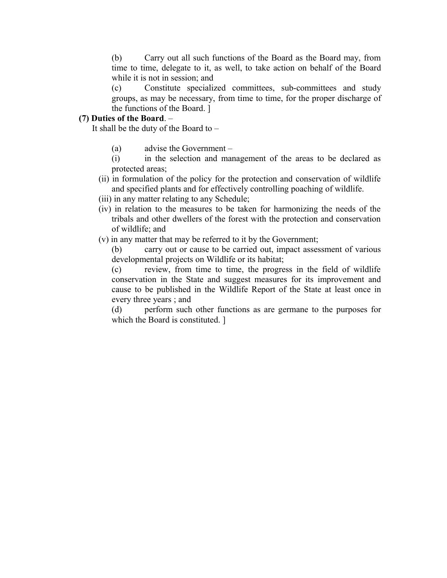(b) Carry out all such functions of the Board as the Board may, from time to time, delegate to it, as well, to take action on behalf of the Board while it is not in session; and

(c) Constitute specialized committees, sub-committees and study groups, as may be necessary, from time to time, for the proper discharge of the functions of the Board. ]

### **(7) Duties of the Board**. –

It shall be the duty of the Board to  $-$ 

- (a) advise the Government –
- (i) in the selection and management of the areas to be declared as protected areas;
- (ii) in formulation of the policy for the protection and conservation of wildlife and specified plants and for effectively controlling poaching of wildlife.
- (iii) in any matter relating to any Schedule;
- (iv) in relation to the measures to be taken for harmonizing the needs of the tribals and other dwellers of the forest with the protection and conservation of wildlife; and
- (v) in any matter that may be referred to it by the Government;
	- (b) carry out or cause to be carried out, impact assessment of various developmental projects on Wildlife or its habitat;

(c) review, from time to time, the progress in the field of wildlife conservation in the State and suggest measures for its improvement and cause to be published in the Wildlife Report of the State at least once in every three years ; and

(d) perform such other functions as are germane to the purposes for which the Board is constituted. ]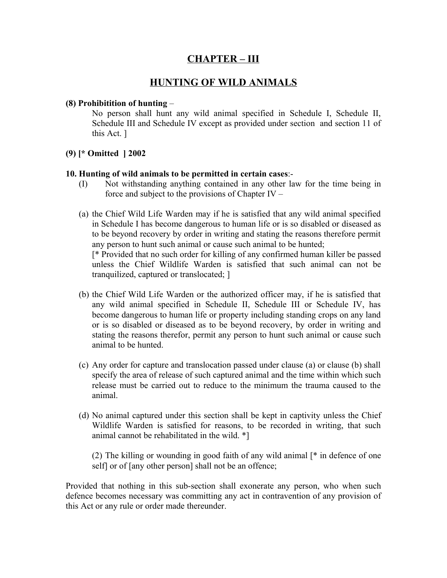## **CHAPTER – III**

## **HUNTING OF WILD ANIMALS**

#### **(8) Prohibitition of hunting** –

No person shall hunt any wild animal specified in Schedule I, Schedule II, Schedule III and Schedule IV except as provided under section and section 11 of this Act. ]

## **(9) [\* Omitted ] 2002**

#### **10. Hunting of wild animals to be permitted in certain cases**:-

- (I) Not withstanding anything contained in any other law for the time being in force and subject to the provisions of Chapter IV –
- (a) the Chief Wild Life Warden may if he is satisfied that any wild animal specified in Schedule I has become dangerous to human life or is so disabled or diseased as to be beyond recovery by order in writing and stating the reasons therefore permit any person to hunt such animal or cause such animal to be hunted; [\* Provided that no such order for killing of any confirmed human killer be passed unless the Chief Wildlife Warden is satisfied that such animal can not be tranquilized, captured or translocated; ]
- (b) the Chief Wild Life Warden or the authorized officer may, if he is satisfied that any wild animal specified in Schedule II, Schedule III or Schedule IV, has become dangerous to human life or property including standing crops on any land or is so disabled or diseased as to be beyond recovery, by order in writing and stating the reasons therefor, permit any person to hunt such animal or cause such animal to be hunted.
- (c) Any order for capture and translocation passed under clause (a) or clause (b) shall specify the area of release of such captured animal and the time within which such release must be carried out to reduce to the minimum the trauma caused to the animal.
- (d) No animal captured under this section shall be kept in captivity unless the Chief Wildlife Warden is satisfied for reasons, to be recorded in writing, that such animal cannot be rehabilitated in the wild. \*]

(2) The killing or wounding in good faith of any wild animal [\* in defence of one self] or of [any other person] shall not be an offence;

Provided that nothing in this sub-section shall exonerate any person, who when such defence becomes necessary was committing any act in contravention of any provision of this Act or any rule or order made thereunder.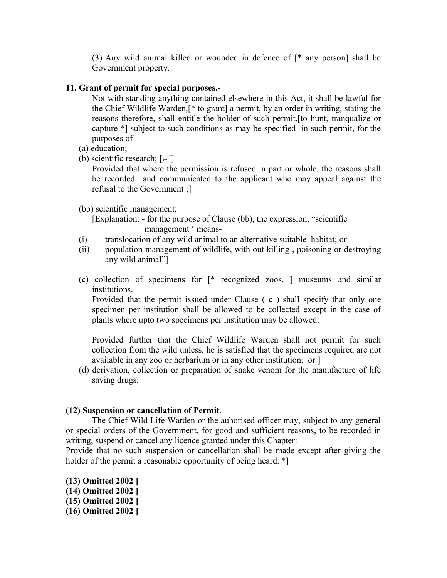(3) Any wild animal killed or wounded in defence of [\* any person] shall be Government property.

### **11. Grant of permit for special purposes.-**

Not with standing anything contained elsewhere in this Act, it shall be lawful for the Chief Wildlife Warden,[\* to grant] a permit, by an order in writing, stating the reasons therefore, shall entitle the holder of such permit,[to hunt, tranqualize or capture \*] subject to such conditions as may be specified in such permit, for the purposes of-

- (a) education;
- (b) scientific research;  $[*"]$

Provided that where the permission is refused in part or whole, the reasons shall be recorded and communicated to the applicant who may appeal against the refusal to the Government ;]

(bb) scientific management;

 [Explanation: - for the purpose of Clause (bb), the expression, "scientific management ' means-

- (i) translocation of any wild animal to an alternative suitable habitat; or
- (ii) population management of wildlife, with out killing , poisoning or destroying any wild animal"]
- (c) collection of specimens for [\* recognized zoos, ] museums and similar institutions.

Provided that the permit issued under Clause ( c ) shall specify that only one specimen per institution shall be allowed to be collected except in the case of plants where upto two specimens per institution may be allowed:

Provided further that the Chief Wildlife Warden shall not permit for such collection from the wild unless, he is satisfied that the specimens required are not available in any zoo or herbarium or in any other institution; or ]

(d) derivation, collection or preparation of snake venom for the manufacture of life saving drugs.

#### **(12) Suspension or cancellation of Permit**. –

The Chief Wild Life Warden or the auhorised officer may, subject to any general or special orders of the Government, for good and sufficient reasons, to be recorded in writing, suspend or cancel any licence granted under this Chapter:

Provide that no such suspension or cancellation shall be made except after giving the holder of the permit a reasonable opportunity of being heard.  $*$ ]

**(13) Omitted 2002 ] (14) Omitted 2002 ] (15) Omitted 2002 ] (16) Omitted 2002 ]**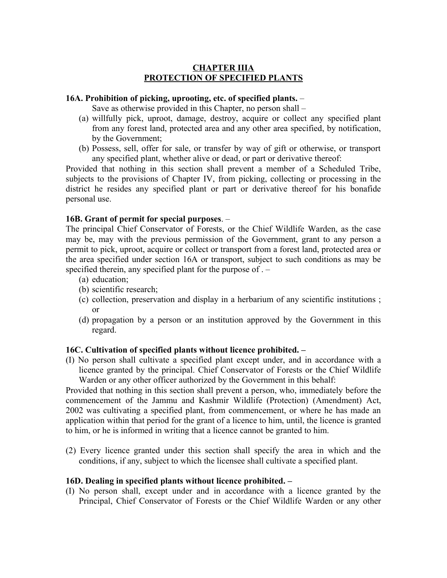### **CHAPTER IIIA PROTECTION OF SPECIFIED PLANTS**

#### **16A. Prohibition of picking, uprooting, etc. of specified plants.** –

Save as otherwise provided in this Chapter, no person shall –

- (a) willfully pick, uproot, damage, destroy, acquire or collect any specified plant from any forest land, protected area and any other area specified, by notification, by the Government;
- (b) Possess, sell, offer for sale, or transfer by way of gift or otherwise, or transport any specified plant, whether alive or dead, or part or derivative thereof:

Provided that nothing in this section shall prevent a member of a Scheduled Tribe, subjects to the provisions of Chapter IV, from picking, collecting or processing in the district he resides any specified plant or part or derivative thereof for his bonafide personal use.

#### **16B. Grant of permit for special purposes**. –

The principal Chief Conservator of Forests, or the Chief Wildlife Warden, as the case may be, may with the previous permission of the Government, grant to any person a permit to pick, uproot, acquire or collect or transport from a forest land, protected area or the area specified under section 16A or transport, subject to such conditions as may be specified therein, any specified plant for the purpose of . –

- (a) education;
- (b) scientific research;
- (c) collection, preservation and display in a herbarium of any scientific institutions ; or
- (d) propagation by a person or an institution approved by the Government in this regard.

#### **16C. Cultivation of specified plants without licence prohibited. –**

(I) No person shall cultivate a specified plant except under, and in accordance with a licence granted by the principal. Chief Conservator of Forests or the Chief Wildlife Warden or any other officer authorized by the Government in this behalf:

Provided that nothing in this section shall prevent a person, who, immediately before the commencement of the Jammu and Kashmir Wildlife (Protection) (Amendment) Act, 2002 was cultivating a specified plant, from commencement, or where he has made an application within that period for the grant of a licence to him, until, the licence is granted to him, or he is informed in writing that a licence cannot be granted to him.

(2) Every licence granted under this section shall specify the area in which and the conditions, if any, subject to which the licensee shall cultivate a specified plant.

#### **16D. Dealing in specified plants without licence prohibited. –**

(I) No person shall, except under and in accordance with a licence granted by the Principal, Chief Conservator of Forests or the Chief Wildlife Warden or any other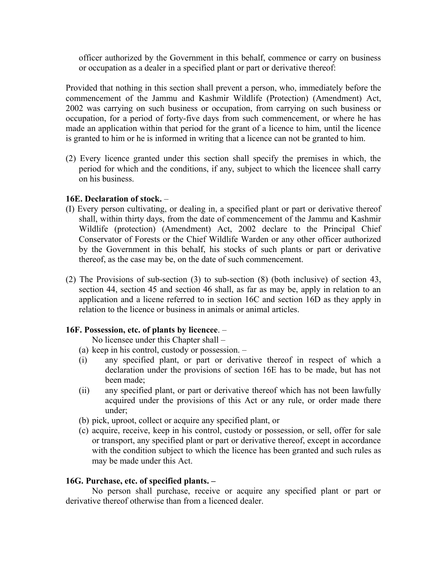officer authorized by the Government in this behalf, commence or carry on business or occupation as a dealer in a specified plant or part or derivative thereof:

Provided that nothing in this section shall prevent a person, who, immediately before the commencement of the Jammu and Kashmir Wildlife (Protection) (Amendment) Act, 2002 was carrying on such business or occupation, from carrying on such business or occupation, for a period of forty-five days from such commencement, or where he has made an application within that period for the grant of a licence to him, until the licence is granted to him or he is informed in writing that a licence can not be granted to him.

(2) Every licence granted under this section shall specify the premises in which, the period for which and the conditions, if any, subject to which the licencee shall carry on his business.

### **16E. Declaration of stock.** –

- (I) Every person cultivating, or dealing in, a specified plant or part or derivative thereof shall, within thirty days, from the date of commencement of the Jammu and Kashmir Wildlife (protection) (Amendment) Act, 2002 declare to the Principal Chief Conservator of Forests or the Chief Wildlife Warden or any other officer authorized by the Government in this behalf, his stocks of such plants or part or derivative thereof, as the case may be, on the date of such commencement.
- (2) The Provisions of sub-section (3) to sub-section (8) (both inclusive) of section 43, section 44, section 45 and section 46 shall, as far as may be, apply in relation to an application and a licene referred to in section 16C and section 16D as they apply in relation to the licence or business in animals or animal articles.

## **16F. Possession, etc. of plants by licencee**. –

No licensee under this Chapter shall –

- (a) keep in his control, custody or possession. –
- (i) any specified plant, or part or derivative thereof in respect of which a declaration under the provisions of section 16E has to be made, but has not been made;
- (ii) any specified plant, or part or derivative thereof which has not been lawfully acquired under the provisions of this Act or any rule, or order made there under;
- (b) pick, uproot, collect or acquire any specified plant, or
- (c) acquire, receive, keep in his control, custody or possession, or sell, offer for sale or transport, any specified plant or part or derivative thereof, except in accordance with the condition subject to which the licence has been granted and such rules as may be made under this Act.

#### **16G. Purchase, etc. of specified plants. –**

No person shall purchase, receive or acquire any specified plant or part or derivative thereof otherwise than from a licenced dealer.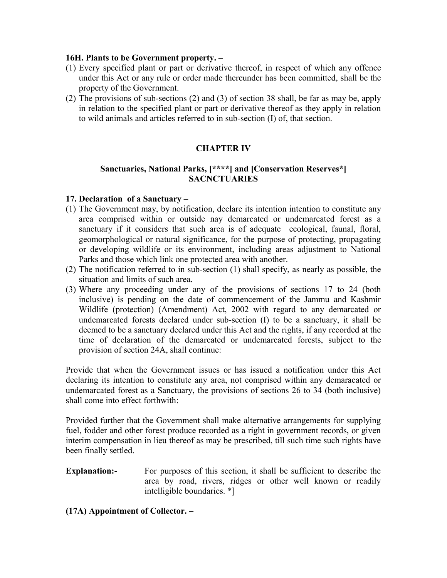### **16H. Plants to be Government property. –**

- (1) Every specified plant or part or derivative thereof, in respect of which any offence under this Act or any rule or order made thereunder has been committed, shall be the property of the Government.
- (2) The provisions of sub-sections (2) and (3) of section 38 shall, be far as may be, apply in relation to the specified plant or part or derivative thereof as they apply in relation to wild animals and articles referred to in sub-section (I) of, that section.

## **CHAPTER IV**

## **Sanctuaries, National Parks, [\*\*\*\*] and [Conservation Reserves\*] SACNCTUARIES**

#### **17. Declaration of a Sanctuary –**

- (1) The Government may, by notification, declare its intention intention to constitute any area comprised within or outside nay demarcated or undemarcated forest as a sanctuary if it considers that such area is of adequate ecological, faunal, floral, geomorphological or natural significance, for the purpose of protecting, propagating or developing wildlife or its environment, including areas adjustment to National Parks and those which link one protected area with another.
- (2) The notification referred to in sub-section (1) shall specify, as nearly as possible, the situation and limits of such area.
- (3) Where any proceeding under any of the provisions of sections 17 to 24 (both inclusive) is pending on the date of commencement of the Jammu and Kashmir Wildlife (protection) (Amendment) Act, 2002 with regard to any demarcated or undemarcated forests declared under sub-section (I) to be a sanctuary, it shall be deemed to be a sanctuary declared under this Act and the rights, if any recorded at the time of declaration of the demarcated or undemarcated forests, subject to the provision of section 24A, shall continue:

Provide that when the Government issues or has issued a notification under this Act declaring its intention to constitute any area, not comprised within any demaracated or undemarcated forest as a Sanctuary, the provisions of sections 26 to 34 (both inclusive) shall come into effect forthwith:

Provided further that the Government shall make alternative arrangements for supplying fuel, fodder and other forest produce recorded as a right in government records, or given interim compensation in lieu thereof as may be prescribed, till such time such rights have been finally settled.

**Explanation:-** For purposes of this section, it shall be sufficient to describe the area by road, rivers, ridges or other well known or readily intelligible boundaries. \*]

**(17A) Appointment of Collector. –**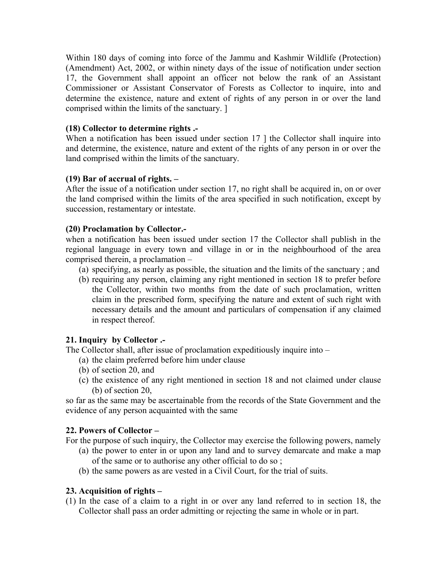Within 180 days of coming into force of the Jammu and Kashmir Wildlife (Protection) (Amendment) Act, 2002, or within ninety days of the issue of notification under section 17, the Government shall appoint an officer not below the rank of an Assistant Commissioner or Assistant Conservator of Forests as Collector to inquire, into and determine the existence, nature and extent of rights of any person in or over the land comprised within the limits of the sanctuary. ]

### **(18) Collector to determine rights .-**

When a notification has been issued under section 17 ] the Collector shall inquire into and determine, the existence, nature and extent of the rights of any person in or over the land comprised within the limits of the sanctuary.

### **(19) Bar of accrual of rights. –**

After the issue of a notification under section 17, no right shall be acquired in, on or over the land comprised within the limits of the area specified in such notification, except by succession, restamentary or intestate.

### **(20) Proclamation by Collector.-**

when a notification has been issued under section 17 the Collector shall publish in the regional language in every town and village in or in the neighbourhood of the area comprised therein, a proclamation –

- (a) specifying, as nearly as possible, the situation and the limits of the sanctuary ; and
- (b) requiring any person, claiming any right mentioned in section 18 to prefer before the Collector, within two months from the date of such proclamation, written claim in the prescribed form, specifying the nature and extent of such right with necessary details and the amount and particulars of compensation if any claimed in respect thereof.

## **21. Inquiry by Collector .-**

The Collector shall, after issue of proclamation expeditiously inquire into –

- (a) the claim preferred before him under clause
- (b) of section 20, and
- (c) the existence of any right mentioned in section 18 and not claimed under clause (b) of section 20,

so far as the same may be ascertainable from the records of the State Government and the evidence of any person acquainted with the same

#### **22. Powers of Collector –**

For the purpose of such inquiry, the Collector may exercise the following powers, namely

- (a) the power to enter in or upon any land and to survey demarcate and make a map of the same or to authorise any other official to do so ;
- (b) the same powers as are vested in a Civil Court, for the trial of suits.

## **23. Acquisition of rights –**

(1) In the case of a claim to a right in or over any land referred to in section 18, the Collector shall pass an order admitting or rejecting the same in whole or in part.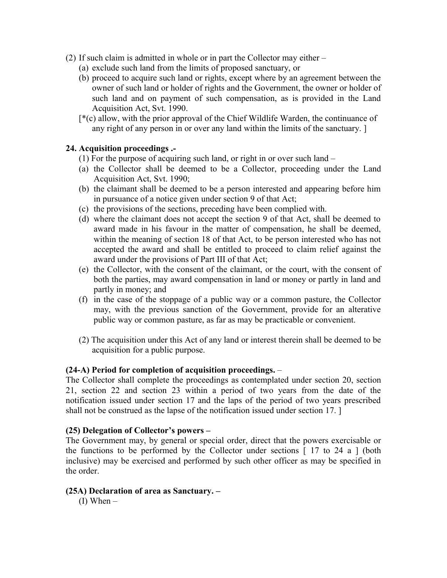- (2) If such claim is admitted in whole or in part the Collector may either
	- (a) exclude such land from the limits of proposed sanctuary, or
	- (b) proceed to acquire such land or rights, except where by an agreement between the owner of such land or holder of rights and the Government, the owner or holder of such land and on payment of such compensation, as is provided in the Land Acquisition Act, Svt. 1990.
	- [\*(c) allow, with the prior approval of the Chief Wildlife Warden, the continuance of any right of any person in or over any land within the limits of the sanctuary. ]

### **24. Acquisition proceedings .-**

- (1) For the purpose of acquiring such land, or right in or over such land –
- (a) the Collector shall be deemed to be a Collector, proceeding under the Land Acquisition Act, Svt. 1990;
- (b) the claimant shall be deemed to be a person interested and appearing before him in pursuance of a notice given under section 9 of that Act;
- (c) the provisions of the sections, preceding have been complied with.
- (d) where the claimant does not accept the section 9 of that Act, shall be deemed to award made in his favour in the matter of compensation, he shall be deemed, within the meaning of section 18 of that Act, to be person interested who has not accepted the award and shall be entitled to proceed to claim relief against the award under the provisions of Part III of that Act;
- (e) the Collector, with the consent of the claimant, or the court, with the consent of both the parties, may award compensation in land or money or partly in land and partly in money; and
- (f) in the case of the stoppage of a public way or a common pasture, the Collector may, with the previous sanction of the Government, provide for an alterative public way or common pasture, as far as may be practicable or convenient.
- (2) The acquisition under this Act of any land or interest therein shall be deemed to be acquisition for a public purpose.

#### **(24-A) Period for completion of acquisition proceedings.** –

The Collector shall complete the proceedings as contemplated under section 20, section 21, section 22 and section 23 within a period of two years from the date of the notification issued under section 17 and the laps of the period of two years prescribed shall not be construed as the lapse of the notification issued under section 17. ]

#### **(25) Delegation of Collector's powers –**

The Government may, by general or special order, direct that the powers exercisable or the functions to be performed by the Collector under sections [ 17 to 24 a ] (both inclusive) may be exercised and performed by such other officer as may be specified in the order.

#### **(25A) Declaration of area as Sanctuary. –**

 $(I)$  When  $-$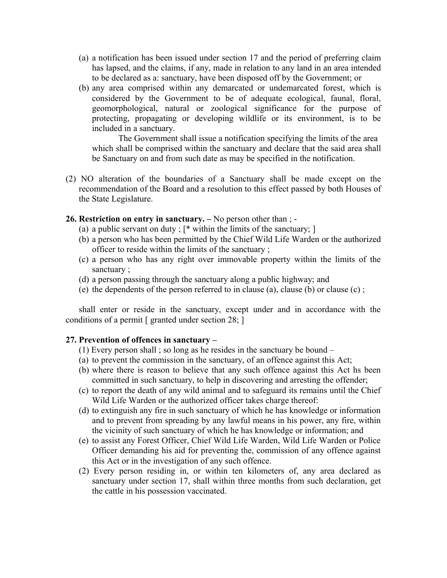- (a) a notification has been issued under section 17 and the period of preferring claim has lapsed, and the claims, if any, made in relation to any land in an area intended to be declared as a: sanctuary, have been disposed off by the Government; or
- (b) any area comprised within any demarcated or undemarcated forest, which is considered by the Government to be of adequate ecological, faunal, floral, geomorphological, natural or zoological significance for the purpose of protecting, propagating or developing wildlife or its environment, is to be included in a sanctuary.

The Government shall issue a notification specifying the limits of the area which shall be comprised within the sanctuary and declare that the said area shall be Sanctuary on and from such date as may be specified in the notification.

(2) NO alteration of the boundaries of a Sanctuary shall be made except on the recommendation of the Board and a resolution to this effect passed by both Houses of the State Legislature.

#### **26. Restriction on entry in sanctuary. –** No person other than ; -

- (a) a public servant on duty ;  $[*$  within the limits of the sanctuary; ]
- (b) a person who has been permitted by the Chief Wild Life Warden or the authorized officer to reside within the limits of the sanctuary ;
- (c) a person who has any right over immovable property within the limits of the sanctuary ;
- (d) a person passing through the sanctuary along a public highway; and
- (e) the dependents of the person referred to in clause (a), clause (b) or clause (c) ;

shall enter or reside in the sanctuary, except under and in accordance with the conditions of a permit [ granted under section 28; ]

#### **27. Prevention of offences in sanctuary –**

- (1) Every person shall ; so long as he resides in the sanctuary be bound –
- (a) to prevent the commission in the sanctuary, of an offence against this Act;
- (b) where there is reason to believe that any such offence against this Act hs been committed in such sanctuary, to help in discovering and arresting the offender;
- (c) to report the death of any wild animal and to safeguard its remains until the Chief Wild Life Warden or the authorized officer takes charge thereof:
- (d) to extinguish any fire in such sanctuary of which he has knowledge or information and to prevent from spreading by any lawful means in his power, any fire, within the vicinity of such sanctuary of which he has knowledge or information; and
- (e) to assist any Forest Officer, Chief Wild Life Warden, Wild Life Warden or Police Officer demanding his aid for preventing the, commission of any offence against this Act or in the investigation of any such offence.
- (2) Every person residing in, or within ten kilometers of, any area declared as sanctuary under section 17, shall within three months from such declaration, get the cattle in his possession vaccinated.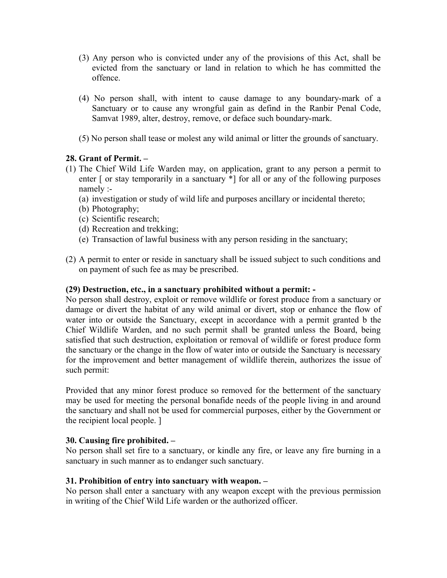- (3) Any person who is convicted under any of the provisions of this Act, shall be evicted from the sanctuary or land in relation to which he has committed the offence.
- (4) No person shall, with intent to cause damage to any boundary-mark of a Sanctuary or to cause any wrongful gain as defind in the Ranbir Penal Code, Samvat 1989, alter, destroy, remove, or deface such boundary-mark.
- (5) No person shall tease or molest any wild animal or litter the grounds of sanctuary.

## **28. Grant of Permit. –**

- (1) The Chief Wild Life Warden may, on application, grant to any person a permit to enter  $\lceil$  or stay temporarily in a sanctuary  $\ast$  $\lceil$  for all or any of the following purposes namely :-
	- (a) investigation or study of wild life and purposes ancillary or incidental thereto;
	- (b) Photography;
	- (c) Scientific research;
	- (d) Recreation and trekking;
	- (e) Transaction of lawful business with any person residing in the sanctuary;
- (2) A permit to enter or reside in sanctuary shall be issued subject to such conditions and on payment of such fee as may be prescribed.

#### **(29) Destruction, etc., in a sanctuary prohibited without a permit: -**

No person shall destroy, exploit or remove wildlife or forest produce from a sanctuary or damage or divert the habitat of any wild animal or divert, stop or enhance the flow of water into or outside the Sanctuary, except in accordance with a permit granted b the Chief Wildlife Warden, and no such permit shall be granted unless the Board, being satisfied that such destruction, exploitation or removal of wildlife or forest produce form the sanctuary or the change in the flow of water into or outside the Sanctuary is necessary for the improvement and better management of wildlife therein, authorizes the issue of such permit:

Provided that any minor forest produce so removed for the betterment of the sanctuary may be used for meeting the personal bonafide needs of the people living in and around the sanctuary and shall not be used for commercial purposes, either by the Government or the recipient local people. ]

#### **30. Causing fire prohibited. –**

No person shall set fire to a sanctuary, or kindle any fire, or leave any fire burning in a sanctuary in such manner as to endanger such sanctuary.

#### **31. Prohibition of entry into sanctuary with weapon. –**

No person shall enter a sanctuary with any weapon except with the previous permission in writing of the Chief Wild Life warden or the authorized officer.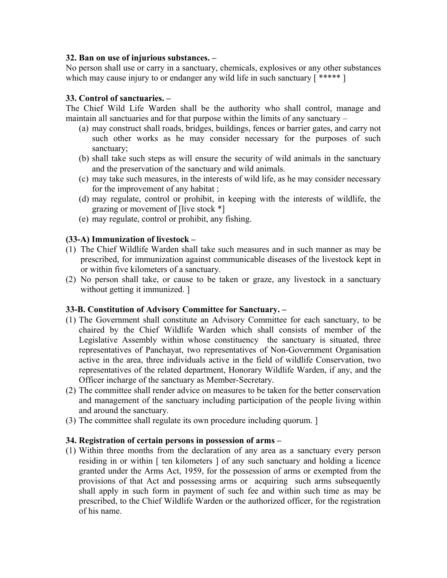#### **32. Ban on use of injurious substances. –**

No person shall use or carry in a sanctuary, chemicals, explosives or any other substances which may cause injury to or endanger any wild life in such sanctuary [\*\*\*\*\*]

### **33. Control of sanctuaries. –**

The Chief Wild Life Warden shall be the authority who shall control, manage and maintain all sanctuaries and for that purpose within the limits of any sanctuary –

- (a) may construct shall roads, bridges, buildings, fences or barrier gates, and carry not such other works as he may consider necessary for the purposes of such sanctuary;
- (b) shall take such steps as will ensure the security of wild animals in the sanctuary and the preservation of the sanctuary and wild animals.
- (c) may take such measures, in the interests of wild life, as he may consider necessary for the improvement of any habitat ;
- (d) may regulate, control or prohibit, in keeping with the interests of wildlife, the grazing or movement of [live stock \*]
- (e) may regulate, control or prohibit, any fishing.

### **(33-A) Immunization of livestock –**

- (1) The Chief Wildlife Warden shall take such measures and in such manner as may be prescribed, for immunization against communicable diseases of the livestock kept in or within five kilometers of a sanctuary.
- (2) No person shall take, or cause to be taken or graze, any livestock in a sanctuary without getting it immunized.

#### **33-B. Constitution of Advisory Committee for Sanctuary. –**

- (1) The Government shall constitute an Advisory Committee for each sanctuary, to be chaired by the Chief Wildlife Warden which shall consists of member of the Legislative Assembly within whose constituency the sanctuary is situated, three representatives of Panchayat, two representatives of Non-Government Organisation active in the area, three individuals active in the field of wildlife Conservation, two representatives of the related department, Honorary Wildlife Warden, if any, and the Officer incharge of the sanctuary as Member-Secretary.
- (2) The committee shall render advice on measures to be taken for the better conservation and management of the sanctuary including participation of the people living within and around the sanctuary.
- (3) The committee shall regulate its own procedure including quorum. ]

#### **34. Registration of certain persons in possession of arms –**

(1) Within three months from the declaration of any area as a sanctuary every person residing in or within [ ten kilometers ] of any such sanctuary and holding a licence granted under the Arms Act, 1959, for the possession of arms or exempted from the provisions of that Act and possessing arms or acquiring such arms subsequently shall apply in such form in payment of such fee and within such time as may be prescribed, to the Chief Wildlife Warden or the authorized officer, for the registration of his name.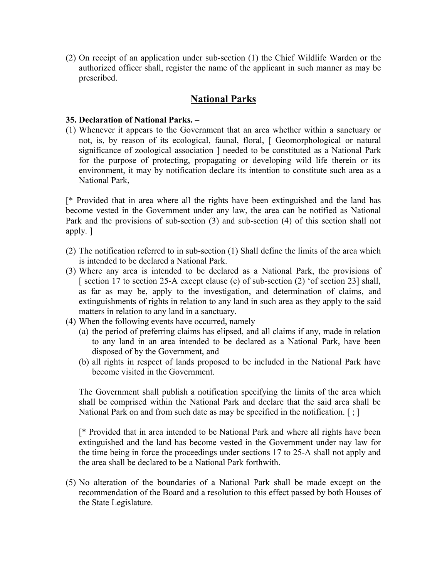(2) On receipt of an application under sub-section (1) the Chief Wildlife Warden or the authorized officer shall, register the name of the applicant in such manner as may be prescribed.

## **National Parks**

#### **35. Declaration of National Parks. –**

(1) Whenever it appears to the Government that an area whether within a sanctuary or not, is, by reason of its ecological, faunal, floral, [ Geomorphological or natural significance of zoological association ] needed to be constituted as a National Park for the purpose of protecting, propagating or developing wild life therein or its environment, it may by notification declare its intention to constitute such area as a National Park,

[\* Provided that in area where all the rights have been extinguished and the land has become vested in the Government under any law, the area can be notified as National Park and the provisions of sub-section (3) and sub-section (4) of this section shall not apply. ]

- (2) The notification referred to in sub-section (1) Shall define the limits of the area which is intended to be declared a National Park.
- (3) Where any area is intended to be declared as a National Park, the provisions of [ section 17 to section 25-A except clause (c) of sub-section (2) 'of section 23] shall, as far as may be, apply to the investigation, and determination of claims, and extinguishments of rights in relation to any land in such area as they apply to the said matters in relation to any land in a sanctuary.
- (4) When the following events have occurred, namely
	- (a) the period of preferring claims has elipsed, and all claims if any, made in relation to any land in an area intended to be declared as a National Park, have been disposed of by the Government, and
	- (b) all rights in respect of lands proposed to be included in the National Park have become visited in the Government.

The Government shall publish a notification specifying the limits of the area which shall be comprised within the National Park and declare that the said area shall be National Park on and from such date as may be specified in the notification. [; ]

[\* Provided that in area intended to be National Park and where all rights have been extinguished and the land has become vested in the Government under nay law for the time being in force the proceedings under sections 17 to 25-A shall not apply and the area shall be declared to be a National Park forthwith.

(5) No alteration of the boundaries of a National Park shall be made except on the recommendation of the Board and a resolution to this effect passed by both Houses of the State Legislature.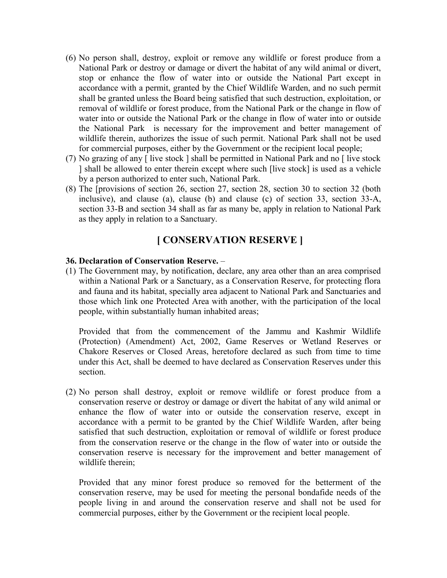- (6) No person shall, destroy, exploit or remove any wildlife or forest produce from a National Park or destroy or damage or divert the habitat of any wild animal or divert, stop or enhance the flow of water into or outside the National Part except in accordance with a permit, granted by the Chief Wildlife Warden, and no such permit shall be granted unless the Board being satisfied that such destruction, exploitation, or removal of wildlife or forest produce, from the National Park or the change in flow of water into or outside the National Park or the change in flow of water into or outside the National Park is necessary for the improvement and better management of wildlife therein, authorizes the issue of such permit. National Park shall not be used for commercial purposes, either by the Government or the recipient local people;
- (7) No grazing of any [ live stock ] shall be permitted in National Park and no [ live stock ] shall be allowed to enter therein except where such [live stock] is used as a vehicle by a person authorized to enter such, National Park.
- (8) The [provisions of section 26, section 27, section 28, section 30 to section 32 (both inclusive), and clause (a), clause (b) and clause (c) of section 33, section 33-A, section 33-B and section 34 shall as far as many be, apply in relation to National Park as they apply in relation to a Sanctuary.

## **[ CONSERVATION RESERVE ]**

### **36. Declaration of Conservation Reserve.** –

(1) The Government may, by notification, declare, any area other than an area comprised within a National Park or a Sanctuary, as a Conservation Reserve, for protecting flora and fauna and its habitat, specially area adjacent to National Park and Sanctuaries and those which link one Protected Area with another, with the participation of the local people, within substantially human inhabited areas;

Provided that from the commencement of the Jammu and Kashmir Wildlife (Protection) (Amendment) Act, 2002, Game Reserves or Wetland Reserves or Chakore Reserves or Closed Areas, heretofore declared as such from time to time under this Act, shall be deemed to have declared as Conservation Reserves under this section.

(2) No person shall destroy, exploit or remove wildlife or forest produce from a conservation reserve or destroy or damage or divert the habitat of any wild animal or enhance the flow of water into or outside the conservation reserve, except in accordance with a permit to be granted by the Chief Wildlife Warden, after being satisfied that such destruction, exploitation or removal of wildlife or forest produce from the conservation reserve or the change in the flow of water into or outside the conservation reserve is necessary for the improvement and better management of wildlife therein;

Provided that any minor forest produce so removed for the betterment of the conservation reserve, may be used for meeting the personal bondafide needs of the people living in and around the conservation reserve and shall not be used for commercial purposes, either by the Government or the recipient local people.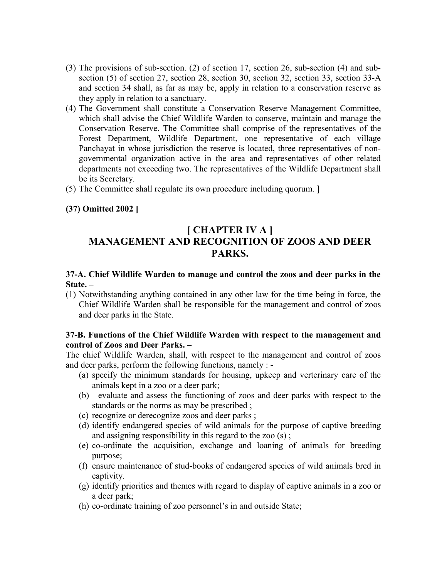- (3) The provisions of sub-section. (2) of section 17, section 26, sub-section (4) and subsection (5) of section 27, section 28, section 30, section 32, section 33, section 33-A and section 34 shall, as far as may be, apply in relation to a conservation reserve as they apply in relation to a sanctuary.
- (4) The Government shall constitute a Conservation Reserve Management Committee, which shall advise the Chief Wildlife Warden to conserve, maintain and manage the Conservation Reserve. The Committee shall comprise of the representatives of the Forest Department, Wildlife Department, one representative of each village Panchayat in whose jurisdiction the reserve is located, three representatives of nongovernmental organization active in the area and representatives of other related departments not exceeding two. The representatives of the Wildlife Department shall be its Secretary.
- (5) The Committee shall regulate its own procedure including quorum. ]

## **(37) Omitted 2002 ]**

## **[ CHAPTER IV A ] MANAGEMENT AND RECOGNITION OF ZOOS AND DEER PARKS.**

#### **37-A. Chief Wildlife Warden to manage and control the zoos and deer parks in the State. –**

(1) Notwithstanding anything contained in any other law for the time being in force, the Chief Wildlife Warden shall be responsible for the management and control of zoos and deer parks in the State.

### **37-B. Functions of the Chief Wildlife Warden with respect to the management and control of Zoos and Deer Parks. –**

The chief Wildlife Warden, shall, with respect to the management and control of zoos and deer parks, perform the following functions, namely : -

- (a) specify the minimum standards for housing, upkeep and verterinary care of the animals kept in a zoo or a deer park;
- (b) evaluate and assess the functioning of zoos and deer parks with respect to the standards or the norms as may be prescribed ;
- (c) recognize or derecognize zoos and deer parks ;
- (d) identify endangered species of wild animals for the purpose of captive breeding and assigning responsibility in this regard to the zoo (s) ;
- (e) co-ordinate the acquisition, exchange and loaning of animals for breeding purpose;
- (f) ensure maintenance of stud-books of endangered species of wild animals bred in captivity.
- (g) identify priorities and themes with regard to display of captive animals in a zoo or a deer park;
- (h) co-ordinate training of zoo personnel's in and outside State;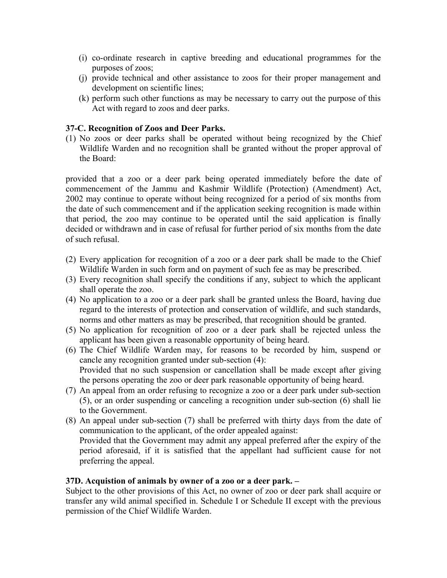- (i) co-ordinate research in captive breeding and educational programmes for the purposes of zoos;
- (j) provide technical and other assistance to zoos for their proper management and development on scientific lines;
- (k) perform such other functions as may be necessary to carry out the purpose of this Act with regard to zoos and deer parks.

#### **37-C. Recognition of Zoos and Deer Parks.**

(1) No zoos or deer parks shall be operated without being recognized by the Chief Wildlife Warden and no recognition shall be granted without the proper approval of the Board:

provided that a zoo or a deer park being operated immediately before the date of commencement of the Jammu and Kashmir Wildlife (Protection) (Amendment) Act, 2002 may continue to operate without being recognized for a period of six months from the date of such commencement and if the application seeking recognition is made within that period, the zoo may continue to be operated until the said application is finally decided or withdrawn and in case of refusal for further period of six months from the date of such refusal.

- (2) Every application for recognition of a zoo or a deer park shall be made to the Chief Wildlife Warden in such form and on payment of such fee as may be prescribed.
- (3) Every recognition shall specify the conditions if any, subject to which the applicant shall operate the zoo.
- (4) No application to a zoo or a deer park shall be granted unless the Board, having due regard to the interests of protection and conservation of wildlife, and such standards, norms and other matters as may be prescribed, that recognition should be granted.
- (5) No application for recognition of zoo or a deer park shall be rejected unless the applicant has been given a reasonable opportunity of being heard.
- (6) The Chief Wildlife Warden may, for reasons to be recorded by him, suspend or cancle any recognition granted under sub-section (4): Provided that no such suspension or cancellation shall be made except after giving the persons operating the zoo or deer park reasonable opportunity of being heard.
- (7) An appeal from an order refusing to recognize a zoo or a deer park under sub-section (5), or an order suspending or canceling a recognition under sub-section (6) shall lie to the Government.
- (8) An appeal under sub-section (7) shall be preferred with thirty days from the date of communication to the applicant, of the order appealed against: Provided that the Government may admit any appeal preferred after the expiry of the period aforesaid, if it is satisfied that the appellant had sufficient cause for not preferring the appeal.

#### **37D. Acquistion of animals by owner of a zoo or a deer park. –**

Subject to the other provisions of this Act, no owner of zoo or deer park shall acquire or transfer any wild animal specified in. Schedule I or Schedule II except with the previous permission of the Chief Wildlife Warden.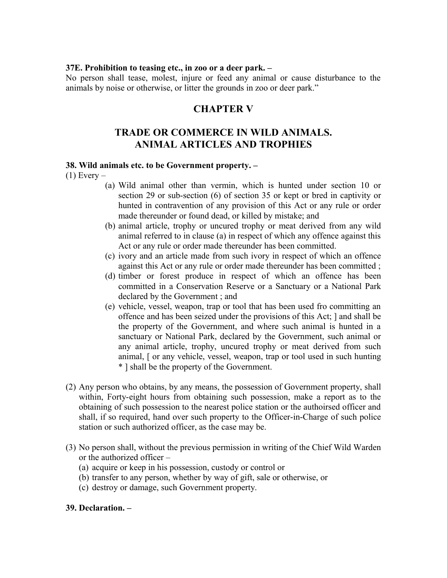#### **37E. Prohibition to teasing etc., in zoo or a deer park. –**

No person shall tease, molest, injure or feed any animal or cause disturbance to the animals by noise or otherwise, or litter the grounds in zoo or deer park."

## **CHAPTER V**

## **TRADE OR COMMERCE IN WILD ANIMALS. ANIMAL ARTICLES AND TROPHIES**

#### **38. Wild animals etc. to be Government property. –**

 $(1)$  Every –

- (a) Wild animal other than vermin, which is hunted under section 10 or section 29 or sub-section (6) of section 35 or kept or bred in captivity or hunted in contravention of any provision of this Act or any rule or order made thereunder or found dead, or killed by mistake; and
- (b) animal article, trophy or uncured trophy or meat derived from any wild animal referred to in clause (a) in respect of which any offence against this Act or any rule or order made thereunder has been committed.
- (c) ivory and an article made from such ivory in respect of which an offence against this Act or any rule or order made thereunder has been committed ;
- (d) timber or forest produce in respect of which an offence has been committed in a Conservation Reserve or a Sanctuary or a National Park declared by the Government ; and
- (e) vehicle, vessel, weapon, trap or tool that has been used fro committing an offence and has been seized under the provisions of this Act; ] and shall be the property of the Government, and where such animal is hunted in a sanctuary or National Park, declared by the Government, such animal or any animal article, trophy, uncured trophy or meat derived from such animal, [ or any vehicle, vessel, weapon, trap or tool used in such hunting \* ] shall be the property of the Government.
- (2) Any person who obtains, by any means, the possession of Government property, shall within, Forty-eight hours from obtaining such possession, make a report as to the obtaining of such possession to the nearest police station or the authoirsed officer and shall, if so required, hand over such property to the Officer-in-Charge of such police station or such authorized officer, as the case may be.
- (3) No person shall, without the previous permission in writing of the Chief Wild Warden or the authorized officer –
	- (a) acquire or keep in his possession, custody or control or
	- (b) transfer to any person, whether by way of gift, sale or otherwise, or
	- (c) destroy or damage, such Government property.

#### **39. Declaration. –**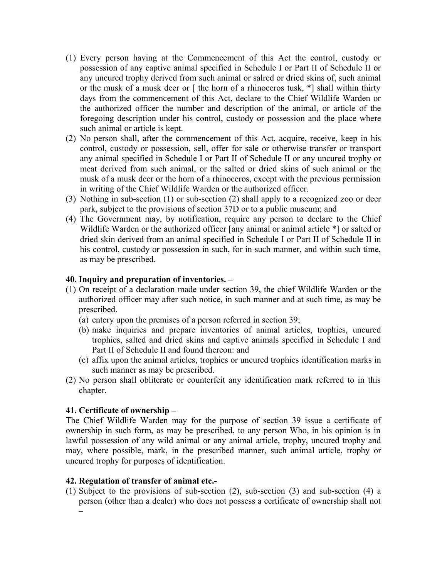- (1) Every person having at the Commencement of this Act the control, custody or possession of any captive animal specified in Schedule I or Part II of Schedule II or any uncured trophy derived from such animal or salred or dried skins of, such animal or the musk of a musk deer or [ the horn of a rhinoceros tusk, \*] shall within thirty days from the commencement of this Act, declare to the Chief Wildlife Warden or the authorized officer the number and description of the animal, or article of the foregoing description under his control, custody or possession and the place where such animal or article is kept.
- (2) No person shall, after the commencement of this Act, acquire, receive, keep in his control, custody or possession, sell, offer for sale or otherwise transfer or transport any animal specified in Schedule I or Part II of Schedule II or any uncured trophy or meat derived from such animal, or the salted or dried skins of such animal or the musk of a musk deer or the horn of a rhinoceros, except with the previous permission in writing of the Chief Wildlife Warden or the authorized officer.
- (3) Nothing in sub-section (1) or sub-section (2) shall apply to a recognized zoo or deer park, subject to the provisions of section 37D or to a public museum; and
- (4) The Government may, by notification, require any person to declare to the Chief Wildlife Warden or the authorized officer [any animal or animal article  $*$ ] or salted or dried skin derived from an animal specified in Schedule I or Part II of Schedule II in his control, custody or possession in such, for in such manner, and within such time, as may be prescribed.

### **40. Inquiry and preparation of inventories. –**

- (1) On receipt of a declaration made under section 39, the chief Wildlife Warden or the authorized officer may after such notice, in such manner and at such time, as may be prescribed.
	- (a) entery upon the premises of a person referred in section 39;
	- (b) make inquiries and prepare inventories of animal articles, trophies, uncured trophies, salted and dried skins and captive animals specified in Schedule I and Part II of Schedule II and found thereon: and
	- (c) affix upon the animal articles, trophies or uncured trophies identification marks in such manner as may be prescribed.
- (2) No person shall obliterate or counterfeit any identification mark referred to in this chapter.

#### **41. Certificate of ownership –**

The Chief Wildlife Warden may for the purpose of section 39 issue a certificate of ownership in such form, as may be prescribed, to any person Who, in his opinion is in lawful possession of any wild animal or any animal article, trophy, uncured trophy and may, where possible, mark, in the prescribed manner, such animal article, trophy or uncured trophy for purposes of identification.

#### **42. Regulation of transfer of animal etc.-**

(1) Subject to the provisions of sub-section (2), sub-section (3) and sub-section (4) a person (other than a dealer) who does not possess a certificate of ownership shall not –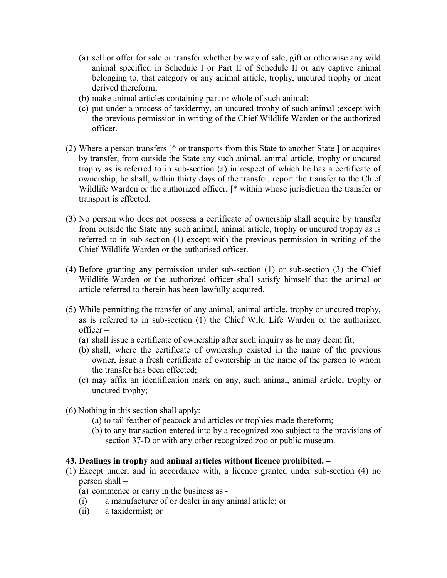- (a) sell or offer for sale or transfer whether by way of sale, gift or otherwise any wild animal specified in Schedule I or Part II of Schedule II or any captive animal belonging to, that category or any animal article, trophy, uncured trophy or meat derived thereform;
- (b) make animal articles containing part or whole of such animal;
- (c) put under a process of taxidermy, an uncured trophy of such animal ;except with the previous permission in writing of the Chief Wildlife Warden or the authorized officer.
- (2) Where a person transfers [\* or transports from this State to another State ] or acquires by transfer, from outside the State any such animal, animal article, trophy or uncured trophy as is referred to in sub-section (a) in respect of which he has a certificate of ownership, he shall, within thirty days of the transfer, report the transfer to the Chief Wildlife Warden or the authorized officer,  $[$ <sup>\*</sup> within whose jurisdiction the transfer or transport is effected.
- (3) No person who does not possess a certificate of ownership shall acquire by transfer from outside the State any such animal, animal article, trophy or uncured trophy as is referred to in sub-section (1) except with the previous permission in writing of the Chief Wildlife Warden or the authorised officer.
- (4) Before granting any permission under sub-section (1) or sub-section (3) the Chief Wildlife Warden or the authorized officer shall satisfy himself that the animal or article referred to therein has been lawfully acquired.
- (5) While permitting the transfer of any animal, animal article, trophy or uncured trophy, as is referred to in sub-section (1) the Chief Wild Life Warden or the authorized officer –
	- (a) shall issue a certificate of ownership after such inquiry as he may deem fit;
	- (b) shall, where the certificate of ownership existed in the name of the previous owner, issue a fresh certificate of ownership in the name of the person to whom the transfer has been effected;
	- (c) may affix an identification mark on any, such animal, animal article, trophy or uncured trophy;
- (6) Nothing in this section shall apply:
	- (a) to tail feather of peacock and articles or trophies made thereform;
	- (b) to any transaction entered into by a recognized zoo subject to the provisions of section 37-D or with any other recognized zoo or public museum.

## **43. Dealings in trophy and animal articles without licence prohibited. –**

- (1) Except under, and in accordance with, a licence granted under sub-section (4) no person shall –
	- (a) commence or carry in the business as -
	- (i) a manufacturer of or dealer in any animal article; or
	- (ii) a taxidermist; or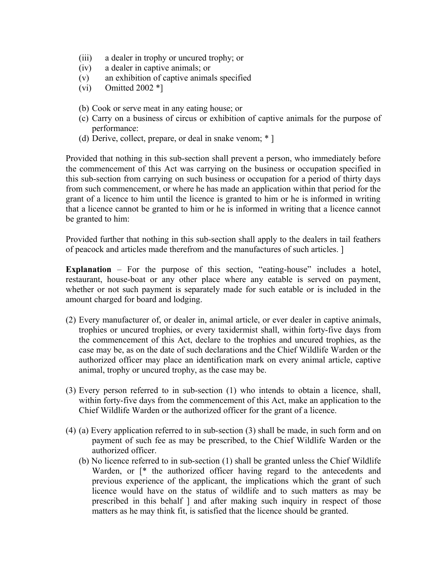- (iii) a dealer in trophy or uncured trophy; or
- (iv) a dealer in captive animals; or
- (v) an exhibition of captive animals specified
- (vi) Omitted 2002 $*$ ]
- (b) Cook or serve meat in any eating house; or
- (c) Carry on a business of circus or exhibition of captive animals for the purpose of performance:
- (d) Derive, collect, prepare, or deal in snake venom; \* ]

Provided that nothing in this sub-section shall prevent a person, who immediately before the commencement of this Act was carrying on the business or occupation specified in this sub-section from carrying on such business or occupation for a period of thirty days from such commencement, or where he has made an application within that period for the grant of a licence to him until the licence is granted to him or he is informed in writing that a licence cannot be granted to him or he is informed in writing that a licence cannot be granted to him:

Provided further that nothing in this sub-section shall apply to the dealers in tail feathers of peacock and articles made therefrom and the manufactures of such articles. ]

**Explanation** – For the purpose of this section, "eating-house" includes a hotel, restaurant, house-boat or any other place where any eatable is served on payment, whether or not such payment is separately made for such eatable or is included in the amount charged for board and lodging.

- (2) Every manufacturer of, or dealer in, animal article, or ever dealer in captive animals, trophies or uncured trophies, or every taxidermist shall, within forty-five days from the commencement of this Act, declare to the trophies and uncured trophies, as the case may be, as on the date of such declarations and the Chief Wildlife Warden or the authorized officer may place an identification mark on every animal article, captive animal, trophy or uncured trophy, as the case may be.
- (3) Every person referred to in sub-section (1) who intends to obtain a licence, shall, within forty-five days from the commencement of this Act, make an application to the Chief Wildlife Warden or the authorized officer for the grant of a licence.
- (4) (a) Every application referred to in sub-section (3) shall be made, in such form and on payment of such fee as may be prescribed, to the Chief Wildlife Warden or the authorized officer.
	- (b) No licence referred to in sub-section (1) shall be granted unless the Chief Wildlife Warden, or  $\lceil$ <sup>\*</sup> the authorized officer having regard to the antecedents and previous experience of the applicant, the implications which the grant of such licence would have on the status of wildlife and to such matters as may be prescribed in this behalf ] and after making such inquiry in respect of those matters as he may think fit, is satisfied that the licence should be granted.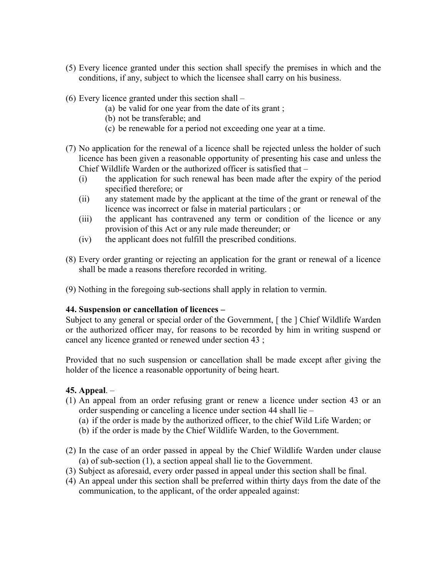- (5) Every licence granted under this section shall specify the premises in which and the conditions, if any, subject to which the licensee shall carry on his business.
- (6) Every licence granted under this section shall
	- (a) be valid for one year from the date of its grant ;
	- (b) not be transferable; and
	- (c) be renewable for a period not exceeding one year at a time.
- (7) No application for the renewal of a licence shall be rejected unless the holder of such licence has been given a reasonable opportunity of presenting his case and unless the Chief Wildlife Warden or the authorized officer is satisfied that –
	- (i) the application for such renewal has been made after the expiry of the period specified therefore; or
	- (ii) any statement made by the applicant at the time of the grant or renewal of the licence was incorrect or false in material particulars ; or
	- (iii) the applicant has contravened any term or condition of the licence or any provision of this Act or any rule made thereunder; or
	- (iv) the applicant does not fulfill the prescribed conditions.
- (8) Every order granting or rejecting an application for the grant or renewal of a licence shall be made a reasons therefore recorded in writing.
- (9) Nothing in the foregoing sub-sections shall apply in relation to vermin.

#### **44. Suspension or cancellation of licences –**

Subject to any general or special order of the Government, [ the ] Chief Wildlife Warden or the authorized officer may, for reasons to be recorded by him in writing suspend or cancel any licence granted or renewed under section 43 ;

Provided that no such suspension or cancellation shall be made except after giving the holder of the licence a reasonable opportunity of being heart.

#### **45. Appeal**. –

- (1) An appeal from an order refusing grant or renew a licence under section 43 or an order suspending or canceling a licence under section 44 shall lie –
	- (a) if the order is made by the authorized officer, to the chief Wild Life Warden; or
	- (b) if the order is made by the Chief Wildlife Warden, to the Government.
- (2) In the case of an order passed in appeal by the Chief Wildlife Warden under clause (a) of sub-section (1), a section appeal shall lie to the Government.
- (3) Subject as aforesaid, every order passed in appeal under this section shall be final.
- (4) An appeal under this section shall be preferred within thirty days from the date of the communication, to the applicant, of the order appealed against: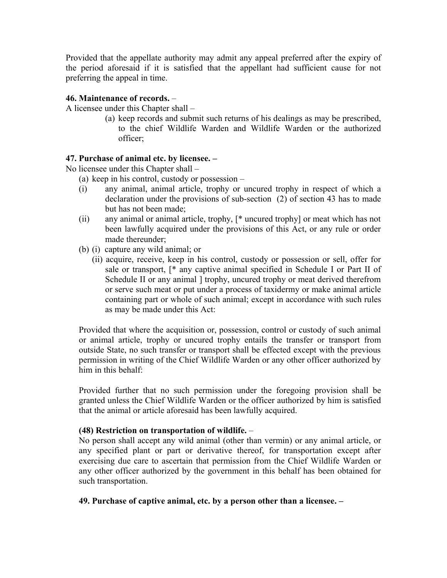Provided that the appellate authority may admit any appeal preferred after the expiry of the period aforesaid if it is satisfied that the appellant had sufficient cause for not preferring the appeal in time.

#### **46. Maintenance of records.** –

A licensee under this Chapter shall –

(a) keep records and submit such returns of his dealings as may be prescribed, to the chief Wildlife Warden and Wildlife Warden or the authorized officer;

### **47. Purchase of animal etc. by licensee. –**

No licensee under this Chapter shall –

- (a) keep in his control, custody or possession –
- (i) any animal, animal article, trophy or uncured trophy in respect of which a declaration under the provisions of sub-section (2) of section 43 has to made but has not been made;
- (ii) any animal or animal article, trophy, [\* uncured trophy] or meat which has not been lawfully acquired under the provisions of this Act, or any rule or order made thereunder;
- (b) (i) capture any wild animal; or
	- (ii) acquire, receive, keep in his control, custody or possession or sell, offer for sale or transport, [\* any captive animal specified in Schedule I or Part II of Schedule II or any animal 1 trophy, uncured trophy or meat derived therefrom or serve such meat or put under a process of taxidermy or make animal article containing part or whole of such animal; except in accordance with such rules as may be made under this Act:

Provided that where the acquisition or, possession, control or custody of such animal or animal article, trophy or uncured trophy entails the transfer or transport from outside State, no such transfer or transport shall be effected except with the previous permission in writing of the Chief Wildlife Warden or any other officer authorized by him in this behalf:

Provided further that no such permission under the foregoing provision shall be granted unless the Chief Wildlife Warden or the officer authorized by him is satisfied that the animal or article aforesaid has been lawfully acquired.

#### **(48) Restriction on transportation of wildlife.** –

No person shall accept any wild animal (other than vermin) or any animal article, or any specified plant or part or derivative thereof, for transportation except after exercising due care to ascertain that permission from the Chief Wildlife Warden or any other officer authorized by the government in this behalf has been obtained for such transportation.

#### **49. Purchase of captive animal, etc. by a person other than a licensee. –**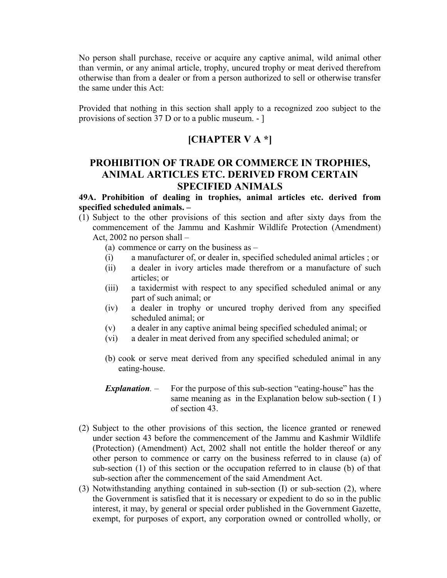No person shall purchase, receive or acquire any captive animal, wild animal other than vermin, or any animal article, trophy, uncured trophy or meat derived therefrom otherwise than from a dealer or from a person authorized to sell or otherwise transfer the same under this Act:

Provided that nothing in this section shall apply to a recognized zoo subject to the provisions of section 37 D or to a public museum. - ]

## **[CHAPTER V A \*]**

## **PROHIBITION OF TRADE OR COMMERCE IN TROPHIES, ANIMAL ARTICLES ETC. DERIVED FROM CERTAIN SPECIFIED ANIMALS**

**49A. Prohibition of dealing in trophies, animal articles etc. derived from specified scheduled animals. –** 

(1) Subject to the other provisions of this section and after sixty days from the commencement of the Jammu and Kashmir Wildlife Protection (Amendment) Act, 2002 no person shall –

(a) commence or carry on the business as –

- (i) a manufacturer of, or dealer in, specified scheduled animal articles ; or
- (ii) a dealer in ivory articles made therefrom or a manufacture of such articles; or
- (iii) a taxidermist with respect to any specified scheduled animal or any part of such animal; or
- (iv) a dealer in trophy or uncured trophy derived from any specified scheduled animal; or
- (v) a dealer in any captive animal being specified scheduled animal; or
- (vi) a dealer in meat derived from any specified scheduled animal; or
- (b) cook or serve meat derived from any specified scheduled animal in any eating-house.

*Explanation.* – For the purpose of this sub-section "eating-house" has the same meaning as in the Explanation below sub-section (I) of section 43.

- (2) Subject to the other provisions of this section, the licence granted or renewed under section 43 before the commencement of the Jammu and Kashmir Wildlife (Protection) (Amendment) Act, 2002 shall not entitle the holder thereof or any other person to commence or carry on the business referred to in clause (a) of sub-section (1) of this section or the occupation referred to in clause (b) of that sub-section after the commencement of the said Amendment Act.
- (3) Notwithstanding anything contained in sub-section (I) or sub-section (2), where the Government is satisfied that it is necessary or expedient to do so in the public interest, it may, by general or special order published in the Government Gazette, exempt, for purposes of export, any corporation owned or controlled wholly, or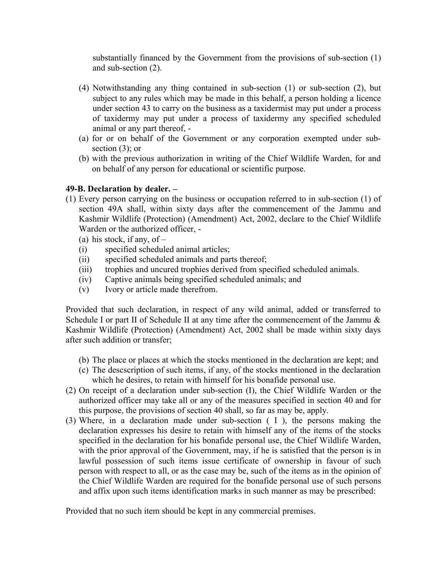substantially financed by the Government from the provisions of sub-section (1) and sub-section (2).

- (4) Notwithstanding any thing contained in sub-section (1) or sub-section (2), but subject to any rules which may be made in this behalf, a person holding a licence under section 43 to carry on the business as a taxidermist may put under a process of taxidermy may put under a process of taxidermy any specified scheduled animal or any part thereof, -
- (a) for or on behalf of the Government or any corporation exempted under subsection (3); or
- (b) with the previous authorization in writing of the Chief Wildlife Warden, for and on behalf of any person for educational or scientific purpose.

## **49-B. Declaration by dealer. –**

- (1) Every person carrying on the business or occupation referred to in sub-section (1) of section 49A shall, within sixty days after the commencement of the Jammu and Kashmir Wildlife (Protection) (Amendment) Act, 2002, declare to the Chief Wildlife Warden or the authorized officer, -
	- (a) his stock, if any, of  $-$
	- (i) specified scheduled animal articles;
	- (ii) specified scheduled animals and parts thereof;
	- (iii) trophies and uncured trophies derived from specified scheduled animals.
	- (iv) Captive animals being specified scheduled animals; and
	- (v) Ivory or article made therefrom.

Provided that such declaration, in respect of any wild animal, added or transferred to Schedule I or part II of Schedule II at any time after the commencement of the Jammu  $\&$ Kashmir Wildlife (Protection) (Amendment) Act, 2002 shall be made within sixty days after such addition or transfer;

- (b) The place or places at which the stocks mentioned in the declaration are kept; and
- (c) The descscription of such items, if any, of the stocks mentioned in the declaration which he desires, to retain with himself for his bonafide personal use.
- (2) On receipt of a declaration under sub-section (I), the Chief Wildlife Warden or the authorized officer may take all or any of the measures specified in section 40 and for this purpose, the provisions of section 40 shall, so far as may be, apply.
- (3) Where, in a declaration made under sub-section ( I ), the persons making the declaration expresses his desire to retain with himself any of the items of the stocks specified in the declaration for his bonafide personal use, the Chief Wildlife Warden, with the prior approval of the Government, may, if he is satisfied that the person is in lawful possession of such items issue certificate of ownership in favour of such person with respect to all, or as the case may be, such of the items as in the opinion of the Chief Wildlife Warden are required for the bonafide personal use of such persons and affix upon such items identification marks in such manner as may be prescribed:

Provided that no such item should be kept in any commercial premises.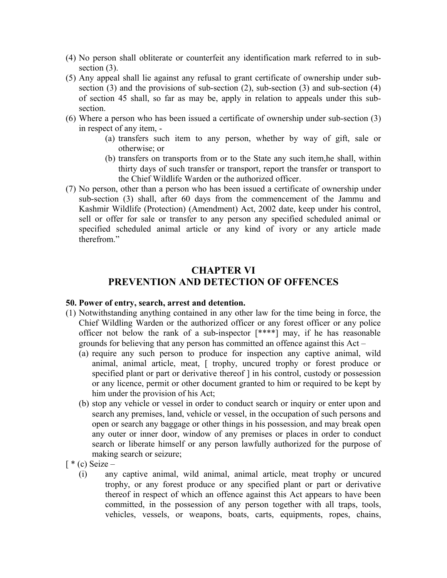- (4) No person shall obliterate or counterfeit any identification mark referred to in subsection  $(3)$ .
- (5) Any appeal shall lie against any refusal to grant certificate of ownership under subsection (3) and the provisions of sub-section (2), sub-section (3) and sub-section (4) of section 45 shall, so far as may be, apply in relation to appeals under this subsection.
- (6) Where a person who has been issued a certificate of ownership under sub-section (3) in respect of any item, -
	- (a) transfers such item to any person, whether by way of gift, sale or otherwise; or
	- (b) transfers on transports from or to the State any such item,he shall, within thirty days of such transfer or transport, report the transfer or transport to the Chief Wildlife Warden or the authorized officer.
- (7) No person, other than a person who has been issued a certificate of ownership under sub-section (3) shall, after 60 days from the commencement of the Jammu and Kashmir Wildlife (Protection) (Amendment) Act, 2002 date, keep under his control, sell or offer for sale or transfer to any person any specified scheduled animal or specified scheduled animal article or any kind of ivory or any article made therefrom"

## **CHAPTER VI PREVENTION AND DETECTION OF OFFENCES**

#### **50. Power of entry, search, arrest and detention.**

- (1) Notwithstanding anything contained in any other law for the time being in force, the Chief Wildling Warden or the authorized officer or any forest officer or any police officer not below the rank of a sub-inspector [\*\*\*\*] may, if he has reasonable grounds for believing that any person has committed an offence against this Act –
	- (a) require any such person to produce for inspection any captive animal, wild animal, animal article, meat, [ trophy, uncured trophy or forest produce or specified plant or part or derivative thereof  $\vert$  in his control, custody or possession or any licence, permit or other document granted to him or required to be kept by him under the provision of his Act;
	- (b) stop any vehicle or vessel in order to conduct search or inquiry or enter upon and search any premises, land, vehicle or vessel, in the occupation of such persons and open or search any baggage or other things in his possession, and may break open any outer or inner door, window of any premises or places in order to conduct search or liberate himself or any person lawfully authorized for the purpose of making search or seizure;
- $\lceil * (c) \text{ Seize} \rceil$ 
	- (i) any captive animal, wild animal, animal article, meat trophy or uncured trophy, or any forest produce or any specified plant or part or derivative thereof in respect of which an offence against this Act appears to have been committed, in the possession of any person together with all traps, tools, vehicles, vessels, or weapons, boats, carts, equipments, ropes, chains,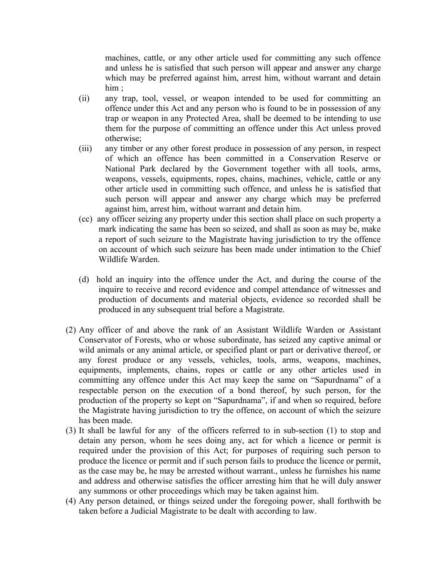machines, cattle, or any other article used for committing any such offence and unless he is satisfied that such person will appear and answer any charge which may be preferred against him, arrest him, without warrant and detain him :

- (ii) any trap, tool, vessel, or weapon intended to be used for committing an offence under this Act and any person who is found to be in possession of any trap or weapon in any Protected Area, shall be deemed to be intending to use them for the purpose of committing an offence under this Act unless proved otherwise;
- (iii) any timber or any other forest produce in possession of any person, in respect of which an offence has been committed in a Conservation Reserve or National Park declared by the Government together with all tools, arms, weapons, vessels, equipments, ropes, chains, machines, vehicle, cattle or any other article used in committing such offence, and unless he is satisfied that such person will appear and answer any charge which may be preferred against him, arrest him, without warrant and detain him.
- (cc) any officer seizing any property under this section shall place on such property a mark indicating the same has been so seized, and shall as soon as may be, make a report of such seizure to the Magistrate having jurisdiction to try the offence on account of which such seizure has been made under intimation to the Chief Wildlife Warden.
- (d) hold an inquiry into the offence under the Act, and during the course of the inquire to receive and record evidence and compel attendance of witnesses and production of documents and material objects, evidence so recorded shall be produced in any subsequent trial before a Magistrate.
- (2) Any officer of and above the rank of an Assistant Wildlife Warden or Assistant Conservator of Forests, who or whose subordinate, has seized any captive animal or wild animals or any animal article, or specified plant or part or derivative thereof, or any forest produce or any vessels, vehicles, tools, arms, weapons, machines, equipments, implements, chains, ropes or cattle or any other articles used in committing any offence under this Act may keep the same on "Sapurdnama" of a respectable person on the execution of a bond thereof, by such person, for the production of the property so kept on "Sapurdnama", if and when so required, before the Magistrate having jurisdiction to try the offence, on account of which the seizure has been made.
- (3) It shall be lawful for any of the officers referred to in sub-section (1) to stop and detain any person, whom he sees doing any, act for which a licence or permit is required under the provision of this Act; for purposes of requiring such person to produce the licence or permit and if such person fails to produce the licence or permit, as the case may be, he may be arrested without warrant., unless he furnishes his name and address and otherwise satisfies the officer arresting him that he will duly answer any summons or other proceedings which may be taken against him.
- (4) Any person detained, or things seized under the foregoing power, shall forthwith be taken before a Judicial Magistrate to be dealt with according to law.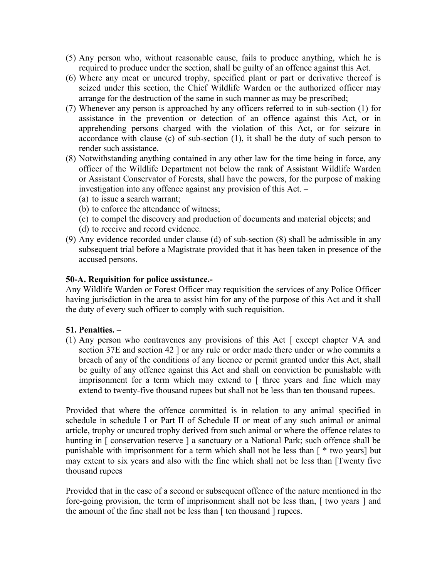- (5) Any person who, without reasonable cause, fails to produce anything, which he is required to produce under the section, shall be guilty of an offence against this Act.
- (6) Where any meat or uncured trophy, specified plant or part or derivative thereof is seized under this section, the Chief Wildlife Warden or the authorized officer may arrange for the destruction of the same in such manner as may be prescribed;
- (7) Whenever any person is approached by any officers referred to in sub-section (1) for assistance in the prevention or detection of an offence against this Act, or in apprehending persons charged with the violation of this Act, or for seizure in accordance with clause (c) of sub-section (1), it shall be the duty of such person to render such assistance.
- (8) Notwithstanding anything contained in any other law for the time being in force, any officer of the Wildlife Department not below the rank of Assistant Wildlife Warden or Assistant Conservator of Forests, shall have the powers, for the purpose of making investigation into any offence against any provision of this Act. –
	- (a) to issue a search warrant;
	- (b) to enforce the attendance of witness;
	- (c) to compel the discovery and production of documents and material objects; and
	- (d) to receive and record evidence.
- (9) Any evidence recorded under clause (d) of sub-section (8) shall be admissible in any subsequent trial before a Magistrate provided that it has been taken in presence of the accused persons.

### **50-A. Requisition for police assistance.-**

Any Wildlife Warden or Forest Officer may requisition the services of any Police Officer having jurisdiction in the area to assist him for any of the purpose of this Act and it shall the duty of every such officer to comply with such requisition.

## **51. Penalties.** –

(1) Any person who contravenes any provisions of this Act [ except chapter VA and section 37E and section 42 ] or any rule or order made there under or who commits a breach of any of the conditions of any licence or permit granted under this Act, shall be guilty of any offence against this Act and shall on conviction be punishable with imprisonment for a term which may extend to [ three years and fine which may extend to twenty-five thousand rupees but shall not be less than ten thousand rupees.

Provided that where the offence committed is in relation to any animal specified in schedule in schedule I or Part II of Schedule II or meat of any such animal or animal article, trophy or uncured trophy derived from such animal or where the offence relates to hunting in [ conservation reserve ] a sanctuary or a National Park; such offence shall be punishable with imprisonment for a term which shall not be less than [ \* two years] but may extent to six years and also with the fine which shall not be less than [Twenty five thousand rupees

Provided that in the case of a second or subsequent offence of the nature mentioned in the fore-going provision, the term of imprisonment shall not be less than, [ two years ] and the amount of the fine shall not be less than [ ten thousand ] rupees.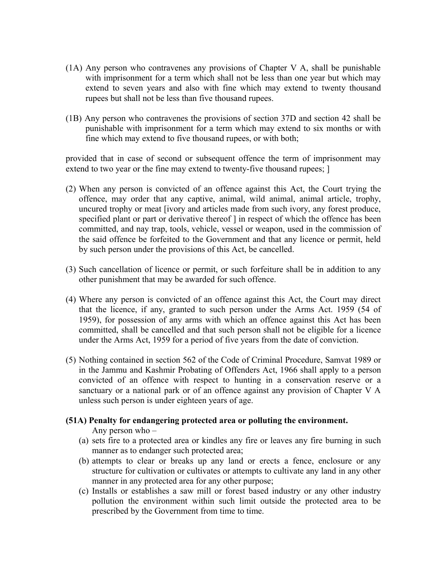- (1A) Any person who contravenes any provisions of Chapter V A, shall be punishable with imprisonment for a term which shall not be less than one year but which may extend to seven years and also with fine which may extend to twenty thousand rupees but shall not be less than five thousand rupees.
- (1B) Any person who contravenes the provisions of section 37D and section 42 shall be punishable with imprisonment for a term which may extend to six months or with fine which may extend to five thousand rupees, or with both;

provided that in case of second or subsequent offence the term of imprisonment may extend to two year or the fine may extend to twenty-five thousand rupees;  $\vert$ 

- (2) When any person is convicted of an offence against this Act, the Court trying the offence, may order that any captive, animal, wild animal, animal article, trophy, uncured trophy or meat [ivory and articles made from such ivory, any forest produce, specified plant or part or derivative thereof  $\vert$  in respect of which the offence has been committed, and nay trap, tools, vehicle, vessel or weapon, used in the commission of the said offence be forfeited to the Government and that any licence or permit, held by such person under the provisions of this Act, be cancelled.
- (3) Such cancellation of licence or permit, or such forfeiture shall be in addition to any other punishment that may be awarded for such offence.
- (4) Where any person is convicted of an offence against this Act, the Court may direct that the licence, if any, granted to such person under the Arms Act. 1959 (54 of 1959), for possession of any arms with which an offence against this Act has been committed, shall be cancelled and that such person shall not be eligible for a licence under the Arms Act, 1959 for a period of five years from the date of conviction.
- (5) Nothing contained in section 562 of the Code of Criminal Procedure, Samvat 1989 or in the Jammu and Kashmir Probating of Offenders Act, 1966 shall apply to a person convicted of an offence with respect to hunting in a conservation reserve or a sanctuary or a national park or of an offence against any provision of Chapter V A unless such person is under eighteen years of age.
- **(51A) Penalty for endangering protected area or polluting the environment.**

Any person who –

- (a) sets fire to a protected area or kindles any fire or leaves any fire burning in such manner as to endanger such protected area;
- (b) attempts to clear or breaks up any land or erects a fence, enclosure or any structure for cultivation or cultivates or attempts to cultivate any land in any other manner in any protected area for any other purpose;
- (c) Installs or establishes a saw mill or forest based industry or any other industry pollution the environment within such limit outside the protected area to be prescribed by the Government from time to time.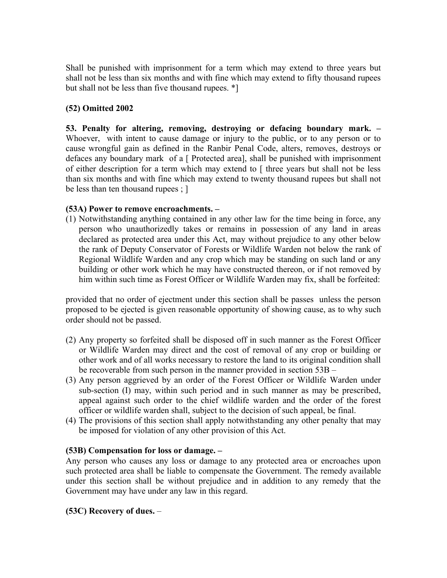Shall be punished with imprisonment for a term which may extend to three years but shall not be less than six months and with fine which may extend to fifty thousand rupees but shall not be less than five thousand rupees. \*]

## **(52) Omitted 2002**

**53. Penalty for altering, removing, destroying or defacing boundary mark. –** Whoever, with intent to cause damage or injury to the public, or to any person or to cause wrongful gain as defined in the Ranbir Penal Code, alters, removes, destroys or defaces any boundary mark of a [ Protected area], shall be punished with imprisonment of either description for a term which may extend to [ three years but shall not be less than six months and with fine which may extend to twenty thousand rupees but shall not be less than ten thousand rupees ; ]

## **(53A) Power to remove encroachments. –**

(1) Notwithstanding anything contained in any other law for the time being in force, any person who unauthorizedly takes or remains in possession of any land in areas declared as protected area under this Act, may without prejudice to any other below the rank of Deputy Conservator of Forests or Wildlife Warden not below the rank of Regional Wildlife Warden and any crop which may be standing on such land or any building or other work which he may have constructed thereon, or if not removed by him within such time as Forest Officer or Wildlife Warden may fix, shall be forfeited:

provided that no order of ejectment under this section shall be passes unless the person proposed to be ejected is given reasonable opportunity of showing cause, as to why such order should not be passed.

- (2) Any property so forfeited shall be disposed off in such manner as the Forest Officer or Wildlife Warden may direct and the cost of removal of any crop or building or other work and of all works necessary to restore the land to its original condition shall be recoverable from such person in the manner provided in section 53B –
- (3) Any person aggrieved by an order of the Forest Officer or Wildlife Warden under sub-section (I) may, within such period and in such manner as may be prescribed, appeal against such order to the chief wildlife warden and the order of the forest officer or wildlife warden shall, subject to the decision of such appeal, be final.
- (4) The provisions of this section shall apply notwithstanding any other penalty that may be imposed for violation of any other provision of this Act.

#### **(53B) Compensation for loss or damage. –**

Any person who causes any loss or damage to any protected area or encroaches upon such protected area shall be liable to compensate the Government. The remedy available under this section shall be without prejudice and in addition to any remedy that the Government may have under any law in this regard.

## **(53C) Recovery of dues.** –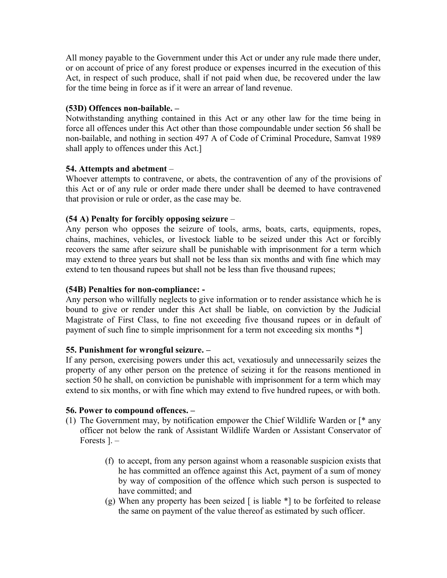All money payable to the Government under this Act or under any rule made there under, or on account of price of any forest produce or expenses incurred in the execution of this Act, in respect of such produce, shall if not paid when due, be recovered under the law for the time being in force as if it were an arrear of land revenue.

### **(53D) Offences non-bailable. –**

Notwithstanding anything contained in this Act or any other law for the time being in force all offences under this Act other than those compoundable under section 56 shall be non-bailable, and nothing in section 497 A of Code of Criminal Procedure, Samvat 1989 shall apply to offences under this Act.]

### **54. Attempts and abetment** –

Whoever attempts to contravene, or abets, the contravention of any of the provisions of this Act or of any rule or order made there under shall be deemed to have contravened that provision or rule or order, as the case may be.

### **(54 A) Penalty for forcibly opposing seizure** –

Any person who opposes the seizure of tools, arms, boats, carts, equipments, ropes, chains, machines, vehicles, or livestock liable to be seized under this Act or forcibly recovers the same after seizure shall be punishable with imprisonment for a term which may extend to three years but shall not be less than six months and with fine which may extend to ten thousand rupees but shall not be less than five thousand rupees;

#### **(54B) Penalties for non-compliance: -**

Any person who willfully neglects to give information or to render assistance which he is bound to give or render under this Act shall be liable, on conviction by the Judicial Magistrate of First Class, to fine not exceeding five thousand rupees or in default of payment of such fine to simple imprisonment for a term not exceeding six months \*]

#### **55. Punishment for wrongful seizure. –**

If any person, exercising powers under this act, vexatiosuly and unnecessarily seizes the property of any other person on the pretence of seizing it for the reasons mentioned in section 50 he shall, on conviction be punishable with imprisonment for a term which may extend to six months, or with fine which may extend to five hundred rupees, or with both.

#### **56. Power to compound offences. –**

- (1) The Government may, by notification empower the Chief Wildlife Warden or [\* any officer not below the rank of Assistant Wildlife Warden or Assistant Conservator of Forests ]. –
	- (f) to accept, from any person against whom a reasonable suspicion exists that he has committed an offence against this Act, payment of a sum of money by way of composition of the offence which such person is suspected to have committed; and
	- (g) When any property has been seized  $\lceil$  is liable  $\ast$  to be forfeited to release the same on payment of the value thereof as estimated by such officer.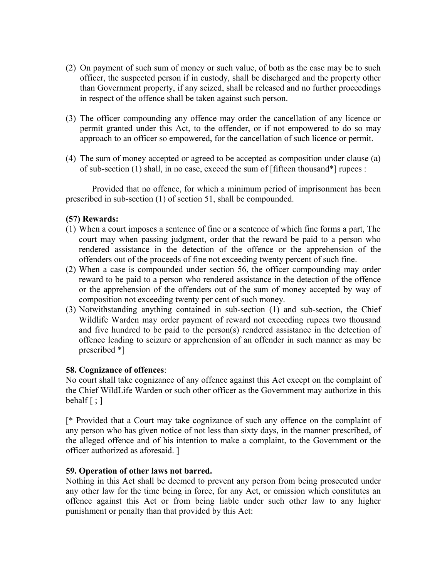- (2) On payment of such sum of money or such value, of both as the case may be to such officer, the suspected person if in custody, shall be discharged and the property other than Government property, if any seized, shall be released and no further proceedings in respect of the offence shall be taken against such person.
- (3) The officer compounding any offence may order the cancellation of any licence or permit granted under this Act, to the offender, or if not empowered to do so may approach to an officer so empowered, for the cancellation of such licence or permit.
- (4) The sum of money accepted or agreed to be accepted as composition under clause (a) of sub-section (1) shall, in no case, exceed the sum of [fifteen thousand\*] rupees :

Provided that no offence, for which a minimum period of imprisonment has been prescribed in sub-section (1) of section 51, shall be compounded.

### **(57) Rewards:**

- (1) When a court imposes a sentence of fine or a sentence of which fine forms a part, The court may when passing judgment, order that the reward be paid to a person who rendered assistance in the detection of the offence or the apprehension of the offenders out of the proceeds of fine not exceeding twenty percent of such fine.
- (2) When a case is compounded under section 56, the officer compounding may order reward to be paid to a person who rendered assistance in the detection of the offence or the apprehension of the offenders out of the sum of money accepted by way of composition not exceeding twenty per cent of such money.
- (3) Notwithstanding anything contained in sub-section (1) and sub-section, the Chief Wildlife Warden may order payment of reward not exceeding rupees two thousand and five hundred to be paid to the person(s) rendered assistance in the detection of offence leading to seizure or apprehension of an offender in such manner as may be prescribed \*]

#### **58. Cognizance of offences**:

No court shall take cognizance of any offence against this Act except on the complaint of the Chief WildLife Warden or such other officer as the Government may authorize in this behalf  $\lceil$ ;  $\rceil$ 

[\* Provided that a Court may take cognizance of such any offence on the complaint of any person who has given notice of not less than sixty days, in the manner prescribed, of the alleged offence and of his intention to make a complaint, to the Government or the officer authorized as aforesaid. ]

#### **59. Operation of other laws not barred.**

Nothing in this Act shall be deemed to prevent any person from being prosecuted under any other law for the time being in force, for any Act, or omission which constitutes an offence against this Act or from being liable under such other law to any higher punishment or penalty than that provided by this Act: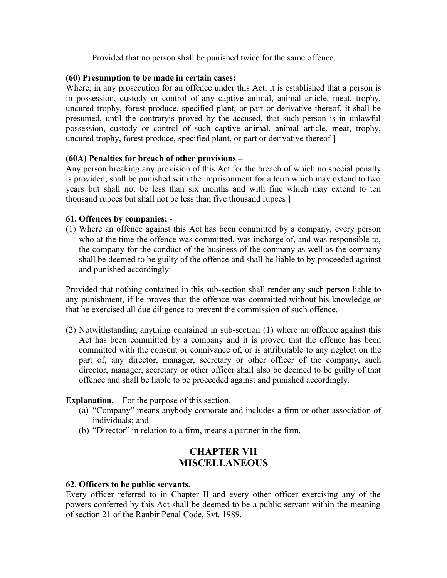Provided that no person shall be punished twice for the same offence.

### **(60) Presumption to be made in certain cases:**

Where, in any prosecution for an offence under this Act, it is established that a person is in possession, custody or control of any captive animal, animal article, meat, trophy, uncured trophy, forest produce, specified plant, or part or derivative thereof, it shall be presumed, until the contraryis proved by the accused, that such person is in unlawful possession, custody or control of such captive animal, animal article, meat, trophy, uncured trophy, forest produce, specified plant, or part or derivative thereof ]

### **(60A) Penalties for breach of other provisions –**

Any person breaking any provision of this Act for the breach of which no special penalty is provided, shall be punished with the imprisonment for a term which may extend to two years but shall not be less than six months and with fine which may extend to ten thousand rupees but shall not be less than five thousand rupees ]

#### **61. Offences by companies;** -

(1) Where an offence against this Act has been committed by a company, every person who at the time the offence was committed, was incharge of, and was responsible to, the company for the conduct of the business of the company as well as the company shall be deemed to be guilty of the offence and shall be liable to by proceeded against and punished accordingly:

Provided that nothing contained in this sub-section shall render any such person liable to any punishment, if he proves that the offence was committed without his knowledge or that he exercised all due diligence to prevent the commission of such offence.

(2) Notwithstanding anything contained in sub-section (1) where an offence against this Act has been committed by a company and it is proved that the offence has been committed with the consent or connivance of, or is attributable to any neglect on the part of, any director, manager, secretary or other officer of the company, such director, manager, secretary or other officer shall also be deemed to be guilty of that offence and shall be liable to be proceeded against and punished accordingly.

## **Explanation**. – For the purpose of this section. –

- (a) "Company" means anybody corporate and includes a firm or other association of individuals; and
- (b) "Director" in relation to a firm, means a partner in the firm.

## **CHAPTER VII MISCELLANEOUS**

#### **62. Officers to be public servants.** –

Every officer referred to in Chapter II and every other officer exercising any of the powers conferred by this Act shall be deemed to be a public servant within the meaning of section 21 of the Ranbir Penal Code, Svt. 1989.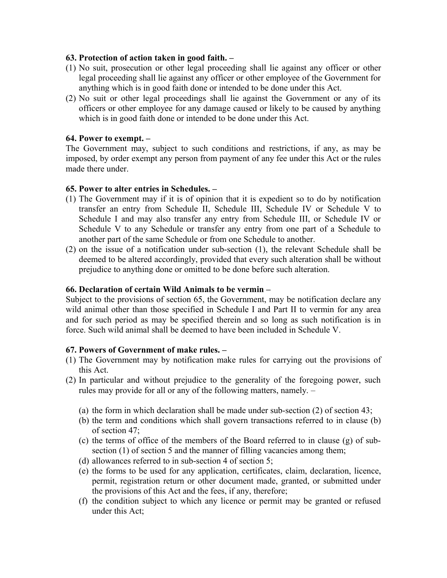#### **63. Protection of action taken in good faith. –**

- (1) No suit, prosecution or other legal proceeding shall lie against any officer or other legal proceeding shall lie against any officer or other employee of the Government for anything which is in good faith done or intended to be done under this Act.
- (2) No suit or other legal proceedings shall lie against the Government or any of its officers or other employee for any damage caused or likely to be caused by anything which is in good faith done or intended to be done under this Act.

### **64. Power to exempt. –**

The Government may, subject to such conditions and restrictions, if any, as may be imposed, by order exempt any person from payment of any fee under this Act or the rules made there under.

### **65. Power to alter entries in Schedules. –**

- (1) The Government may if it is of opinion that it is expedient so to do by notification transfer an entry from Schedule II, Schedule III, Schedule IV or Schedule V to Schedule I and may also transfer any entry from Schedule III, or Schedule IV or Schedule V to any Schedule or transfer any entry from one part of a Schedule to another part of the same Schedule or from one Schedule to another.
- (2) on the issue of a notification under sub-section (1), the relevant Schedule shall be deemed to be altered accordingly, provided that every such alteration shall be without prejudice to anything done or omitted to be done before such alteration.

#### **66. Declaration of certain Wild Animals to be vermin –**

Subject to the provisions of section 65, the Government, may be notification declare any wild animal other than those specified in Schedule I and Part II to vermin for any area and for such period as may be specified therein and so long as such notification is in force. Such wild animal shall be deemed to have been included in Schedule V.

#### **67. Powers of Government of make rules. –**

- (1) The Government may by notification make rules for carrying out the provisions of this Act.
- (2) In particular and without prejudice to the generality of the foregoing power, such rules may provide for all or any of the following matters, namely. –
	- (a) the form in which declaration shall be made under sub-section (2) of section 43;
	- (b) the term and conditions which shall govern transactions referred to in clause (b) of section 47;
	- (c) the terms of office of the members of the Board referred to in clause (g) of subsection (1) of section 5 and the manner of filling vacancies among them;
	- (d) allowances referred to in sub-section 4 of section 5;
	- (e) the forms to be used for any application, certificates, claim, declaration, licence, permit, registration return or other document made, granted, or submitted under the provisions of this Act and the fees, if any, therefore;
	- (f) the condition subject to which any licence or permit may be granted or refused under this Act;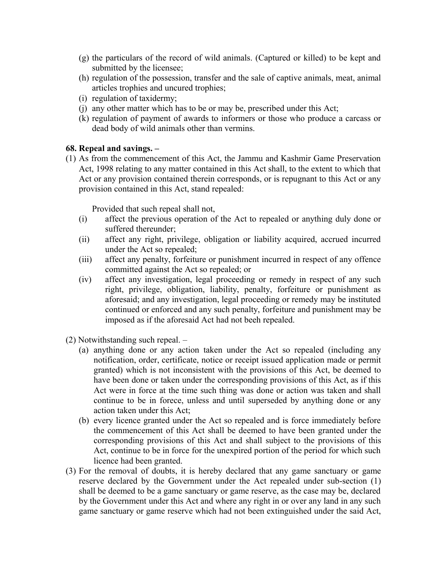- (g) the particulars of the record of wild animals. (Captured or killed) to be kept and submitted by the licensee;
- (h) regulation of the possession, transfer and the sale of captive animals, meat, animal articles trophies and uncured trophies;
- (i) regulation of taxidermy;
- (j) any other matter which has to be or may be, prescribed under this Act;
- (k) regulation of payment of awards to informers or those who produce a carcass or dead body of wild animals other than vermins.

### **68. Repeal and savings. –**

(1) As from the commencement of this Act, the Jammu and Kashmir Game Preservation Act, 1998 relating to any matter contained in this Act shall, to the extent to which that Act or any provision contained therein corresponds, or is repugnant to this Act or any provision contained in this Act, stand repealed:

Provided that such repeal shall not,

- (i) affect the previous operation of the Act to repealed or anything duly done or suffered thereunder;
- (ii) affect any right, privilege, obligation or liability acquired, accrued incurred under the Act so repealed;
- (iii) affect any penalty, forfeiture or punishment incurred in respect of any offence committed against the Act so repealed; or
- (iv) affect any investigation, legal proceeding or remedy in respect of any such right, privilege, obligation, liability, penalty, forfeiture or punishment as aforesaid; and any investigation, legal proceeding or remedy may be instituted continued or enforced and any such penalty, forfeiture and punishment may be imposed as if the aforesaid Act had not beeh repealed.
- (2) Notwithstanding such repeal.
	- (a) anything done or any action taken under the Act so repealed (including any notification, order, certificate, notice or receipt issued application made or permit granted) which is not inconsistent with the provisions of this Act, be deemed to have been done or taken under the corresponding provisions of this Act, as if this Act were in force at the time such thing was done or action was taken and shall continue to be in forece, unless and until superseded by anything done or any action taken under this Act;
	- (b) every licence granted under the Act so repealed and is force immediately before the commencement of this Act shall be deemed to have been granted under the corresponding provisions of this Act and shall subject to the provisions of this Act, continue to be in force for the unexpired portion of the period for which such licence had been granted.
- (3) For the removal of doubts, it is hereby declared that any game sanctuary or game reserve declared by the Government under the Act repealed under sub-section (1) shall be deemed to be a game sanctuary or game reserve, as the case may be, declared by the Government under this Act and where any right in or over any land in any such game sanctuary or game reserve which had not been extinguished under the said Act,